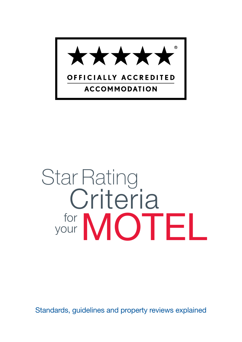

# Star Rating for your MOTEL Criteria

Standards, guidelines and property reviews explained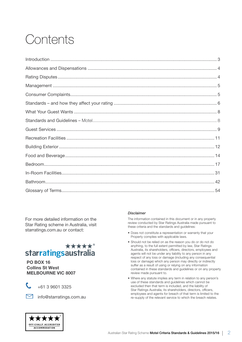## Contents

For more detailed information on the Star Rating scheme in Australia, visit starratings.com.au or contact:

#### \*\*\*\*\*\* starratingsaustralia

PO BOX 16 Collins St West MELBOURNE VIC 8007



+61 3 9601 3325



minfo@starratings.com.au

#### *Disclaimer*

The information contained in this document or in any property review conducted by Star Ratings Australia made pursuant to these criteria and the standards and guidelines:

- Does not constitute a representation or warranty that your Property complies with applicable laws.
- Should not be relied on as the reason you do or do not do anything, to the full extent permitted by law, Star Ratings Australia, its shareholders, officers, directors, employees and agents will not be under any liability to any person in any respect of any loss or damage (including any consequential loss or damage) which any person may directly or indirectly suffer as a result of using or relying on any information contained in these standards and guidelines or on any property review made pursuant to.
- Where any statute implies any term in relation to any person's use of these standards and guidelines which cannot be excluded then that term is included, and the liability of Star Ratings Australia, its shareholders, directors, officers, employees and agents for breach of that term is limited to the re–supply of the relevant service to which the breach relates.

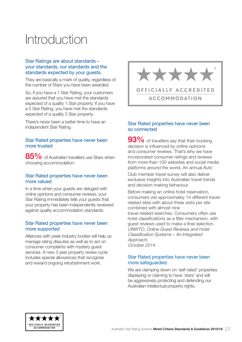## Introduction

#### Star Ratings are about standards – your standards, our standards and the standards expected by your guests.

They are basically a mark of quality, regardless of the number of Stars you have been awarded.

So, if you have a 1 Star Rating, your customers are assured that you have met the standards expected of a quality 1 Star property. If you have a 5 Star Rating, you have met the standards expected of a quality 5 Star property.

There's never been a better time to have an independent Star Rating.

#### Star Rated properties have never been more trusted

85% of Australian travellers use Stars when choosing accommodation.

#### Star Rated properties have never been more valued

In a time when your guests are deluged with online opinions and consumer reviews, your Star Rating immediately tells your guests that your property has been independently reviewed against quality accommodation standards.

#### Star Rated properties have never been more supported

Alliances with peak industry bodies will help us manage rating disputes as well as to act on consumer complaints with mystery guest services. A new 3 year property review cycle includes special allowances that recognise and reward ongoing refurbishment work.



#### Star Rated properties have never been so connected

93% of travellers say that their booking decision is influenced by online opinions and consumer reviews. That's why we have incorporated consumer ratings and reviews from more than 100 websites and social media platforms around the world. An annual Auto

Club member travel survey will also deliver exclusive insights into Australian travel trends and decision making behaviour.

Before making an online hotel reservation, consumers vist approximatey 14 different travelrelated sites with about three visits per site combined with almost nine travel-related searches. Consumers often use hotel classifications as a filter mechanism, with guest reviews used to make a final selection. UNWTO, Online Guest Reviews and Hotel Classification Systems – An Integrated Approach, October 2014

#### Star Rated properties have never been more safeguarded

We are clamping down on 'self-rated' properties displaying or claiming to have 'stars' and will be aggressively protecting and defending our Australian intellectual property rights.

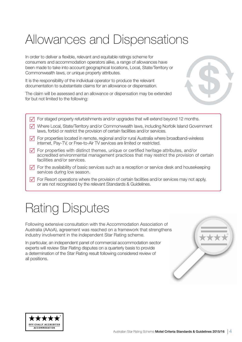## Allowances and Dispensations

In order to deliver a flexible, relevant and equitable ratings scheme for consumers and accommodation operators alike, a range of allowances have been made to take into account geographical locations, Local, State/Territory or Commonwealth laws, or unique property attributes.

It is the responsibility of the individual operator to produce the relevant documentation to substantiate claims for an allowance or dispensation.

The claim will be assessed and an allowance or dispensation may be extended for but not limited to the following:



- $\sqrt{ }$  For staged property refurbishments and/or upgrades that will extend beyond 12 months.
- $\sqrt{ }$  Where Local, State/Territory and/or Commonwealth laws, including Norfolk Island Government laws, forbid or restrict the provision of certain facilities and/or services.
- $\sqrt{ }$  For properties located in remote, regional and/or rural Australia where broadband-wireless internet, Pay-TV, or Free-to-Air TV services are limited or restricted.
- $\sqrt{ }$  For properties with distinct themes, unique or certified heritage attributes, and/or accredited environmental management practices that may restrict the provision of certain facilities and/or services.
- $\sqrt{\phantom{a}}$  For the availability of basic services such as a reception or service desk and housekeeping services during low season.
- $\sqrt{\phantom{a}}$  For Resort operations where the provision of certain facilities and/or services may not apply, or are not recognised by the relevant Standards & Guidelines.

## Rating Disputes

Following extensive consultation with the Accommodation Association of Australia (AAoA), agreement was reached on a framework that strengthens industry involvement in the independent Star Rating scheme.

In particular, an independent panel of commercial accommodation sector experts will review Star Rating disputes on a quarterly basis to provide a determination of the Star Rating result following considered review of all positions.



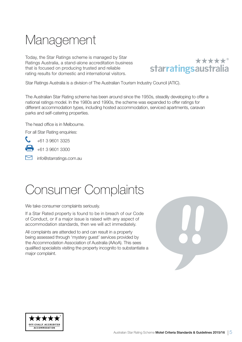## Management

Today, the Star Ratings scheme is managed by Star Ratings Australia, a stand-alone accreditation business that is focused on producing trusted and reliable rating results for domestic and international visitors.



Star Ratings Australia is a division of The Australian Tourism Industry Council (ATIC).

The Australian Star Rating scheme has been around since the 1950s, steadily developing to offer a national ratings model. In the 1980s and 1990s, the scheme was expanded to offer ratings for different accommodation types, including hosted accommodation, serviced apartments, caravan parks and self-catering properties.

The head office is in Melbourne.

For all Star Rating enquiries:



+61 3 9601 3300

mfo@starratings.com.au

## Consumer Complaints

We take consumer complaints seriously.

If a Star Rated property is found to be in breach of our Code of Conduct, or if a major issue is raised with any aspect of accommodation standards, then we will act immediately.

All complaints are attended to and can result in a property being assessed through 'mystery guest' services provided by the Accommodation Association of Australia (AAoA). This sees qualified specialists visiting the property incognito to substantiate a major complaint.



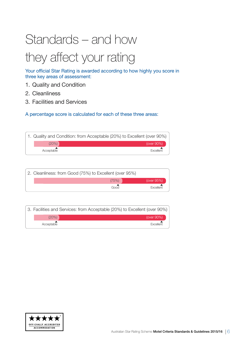## Standards – and how

## they affect your rating

Your official Star Rating is awarded according to how highly you score in three key areas of assessment:

- 1. Quality and Condition
- 2. Cleanliness
- 3. Facilities and Services

#### A percentage score is calculated for each of these three areas:

|            | 1. Quality and Condition: from Acceptable (20%) to Excellent (over 90%) |
|------------|-------------------------------------------------------------------------|
| (20%)      | (over $90\%$ )                                                          |
| Acceptable | Excellent                                                               |

| 2. Cleanliness: from Good (75%) to Excellent (over 95%) |                  |
|---------------------------------------------------------|------------------|
| (75%)                                                   | (over 95%)       |
| Good                                                    | <b>Excellent</b> |

|            | 3. Facilities and Services: from Acceptable (20%) to Excellent (over 90%) |  |
|------------|---------------------------------------------------------------------------|--|
| (20%)      | (over 90%)                                                                |  |
| Acceptable | Excellent                                                                 |  |

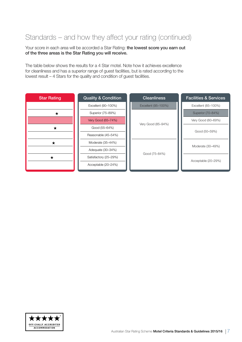### Standards – and how they affect your rating (continued)

Your score in each area will be accorded a Star Rating: the lowest score you earn out of the three areas is the Star Rating you will receive.

The table below shows the results for a 4 Star motel. Note how it achieves excellence for cleanliness and has a superior range of guest facilities, but is rated according to the lowest result – 4 Stars for the quality and condition of guest facilities.

| <b>Star Rating</b> | <b>Quality &amp; Condition</b> | <b>Cleanliness</b>  |                     |
|--------------------|--------------------------------|---------------------|---------------------|
|                    | Excellent (90-100%)            | Excellent (95-100%) | Excellent (85-100%) |
| ★                  | Superior (75-89%)              |                     | Superior (70-84%)   |
|                    | Very Good (65-74%)             | Very Good (85-94%)  | Very Good (60-69%)  |
| ★                  | Good (55-64%)                  |                     |                     |
|                    | Reasonable (45-54%)            |                     | Good (50-59%)       |
| ★                  | Moderate (35-44%)              |                     |                     |
|                    | Adequate (30-34%)              |                     | Moderate (30-49%)   |
| ★                  | Satisfactory (25-29%)          | Good (75-84%)       | Acceptable (20-29%) |
|                    | Acceptable (20-24%)            |                     |                     |
|                    |                                |                     |                     |

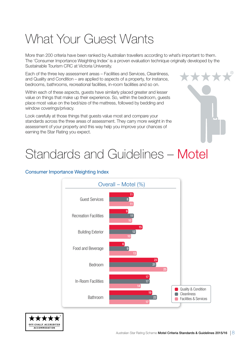## What Your Guest Wants

More than 200 criteria have been ranked by Australian travellers according to what's important to them. The 'Consumer Importance Weighting Index' is a proven evaluation technique originally developed by the Sustainable Tourism CRC at Victoria University.

Each of the three key assessment areas – Facilities and Services, Cleanliness, and Quality and Condition – are applied to aspects of a property, for instance, bedrooms, bathrooms, recreational facilities, in-room facilities and so on.

Within each of these aspects, guests have similarly placed greater and lesser value on things that make up their experience. So, within the bedroom, guests place most value on the bed/size of the mattress, followed by bedding and window coverings/privacy.

Look carefully at those things that guests value most and compare your standards across the three areas of assessment. They carry more weight in the assessment of your property and this way help you improve your chances of earning the Star Rating you expect.



## Standards and Guidelines – Motel

#### Consumer Importance Weighting Index



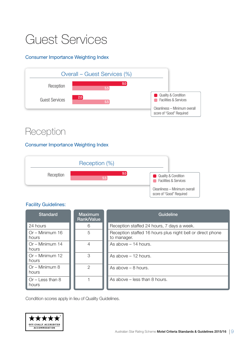## Guest Services

#### Consumer Importance Weighting Index



### Reception

#### Consumer Importance Weighting Index



#### Facility Guidelines:

| <b>Standard</b>             | <b>Maximum</b><br>Rank/Value | Guideline                                                                 |
|-----------------------------|------------------------------|---------------------------------------------------------------------------|
| 24 hours                    | 6                            | Reception staffed 24 hours, 7 days a week.                                |
| $Or - Minimum 16$<br>hours  | 5                            | Reception staffed 16 hours plus night bell or direct phone<br>to manager. |
| $Or - Minimum 14$<br>hours  | 4                            | As above $-14$ hours.                                                     |
| $Or - Minimum 12$<br>hours  | 3                            | As above $-12$ hours.                                                     |
| $Or - Minimum 8$<br>hours   | $\overline{2}$               | As above $-8$ hours.                                                      |
| $Or - Less than 8$<br>hours |                              | As above – less than 8 hours.                                             |

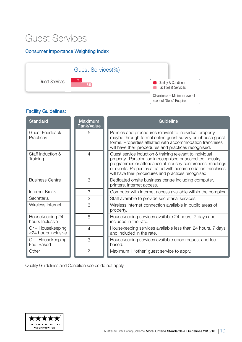### Guest Services

#### Consumer Importance Weighting Index



#### Facility Guidelines:

| <b>Standard</b>                          | <b>Maximum</b><br><b>Rank/Value</b> | Guideline                                                                                                                                                                                                                                                                                                        |
|------------------------------------------|-------------------------------------|------------------------------------------------------------------------------------------------------------------------------------------------------------------------------------------------------------------------------------------------------------------------------------------------------------------|
| <b>Guest Feedback</b><br>Practices       | 5                                   | Policies and procedures relevant to individual property,<br>maybe through formal online guest survey or inhouse guest<br>forms. Properties affliated with accommodation franchises<br>will have their procedures and practices recognised.                                                                       |
| Staff Induction &<br>Training            | $\overline{4}$                      | Guest service induction & training relevant to individual<br>property. Participation in recognised or accredited industry<br>programmes or attendance at industry conferences, meetings<br>or events. Properties affliated with accommodation franchises<br>will have their procedures and practices recognised. |
| <b>Business Centre</b>                   | 3                                   | Dedicated onsite business centre including computer,<br>printers, internet access.                                                                                                                                                                                                                               |
| Internet Kiosk                           | 3                                   | Computer with internet access available within the complex.                                                                                                                                                                                                                                                      |
| Secretarial                              | $\overline{2}$                      | Staff available to provide secretarial services.                                                                                                                                                                                                                                                                 |
| Wireless Internet                        | 3                                   | Wireless internet connection available in public areas of<br>property.                                                                                                                                                                                                                                           |
| Housekeeping 24<br>hours Inclusive       | 5                                   | Housekeeping services available 24 hours, 7 days and<br>included in the rate.                                                                                                                                                                                                                                    |
| Or - Housekeeping<br><24 hours Inclusive | 4                                   | Housekeeping services available less than 24 hours, 7 days<br>and included in the rate.                                                                                                                                                                                                                          |
| Or - Housekeeping<br>Fee-Based           | 3                                   | Housekeeping services available upon request and fee-<br>based.                                                                                                                                                                                                                                                  |
| Other                                    | $\overline{2}$                      | Maximum 1 'other' guest service to apply.                                                                                                                                                                                                                                                                        |

Quality Guidelines and Condition scores do not apply.

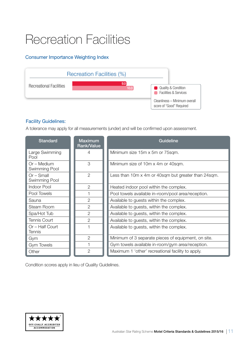## Recreation Facilities

#### Consumer Importance Weighting Index



#### Facility Guidelines:

A tolerance may apply for all measurements (under) and will be confirmed upon assessment.

| <b>Standard</b>               | <b>Maximum</b><br><b>Rank/Value</b> | <b>Guideline</b>                                    |
|-------------------------------|-------------------------------------|-----------------------------------------------------|
| Large Swimming<br>Pool        | 4                                   | Minimum size 15m x 5m or 75sqm.                     |
| Or – Medium<br>Swimming Pool  | 3                                   | Minimum size of 10m x 4m or 40sqm.                  |
| $Or$ – Small<br>Swimming Pool | $\overline{2}$                      | Less than 10m x 4m or 40sqm but greater than 24sqm. |
| Indoor Pool                   | $\overline{2}$                      | Heated indoor pool within the complex.              |
| Pool Towels                   |                                     | Pool towels available in-room/pool area/reception.  |
| Sauna                         | $\overline{2}$                      | Available to guests within the complex.             |
| Steam Room                    | $\overline{2}$                      | Available to guests, within the complex.            |
| Spa/Hot Tub                   | $\overline{2}$                      | Available to guests, within the complex.            |
| <b>Tennis Court</b>           | $\overline{2}$                      | Available to guests, within the complex.            |
| Or - Half Court<br>Tennis     |                                     | Available to guests, within the complex.            |
| Gym                           | $\overline{2}$                      | Minimum of 3 separate pieces of equipment, on site. |
| <b>Gym Towels</b>             |                                     | Gym towels available in-room/gym area/reception.    |
| Other                         | $\overline{2}$                      | Maximum 1 'other' recreational facility to apply.   |

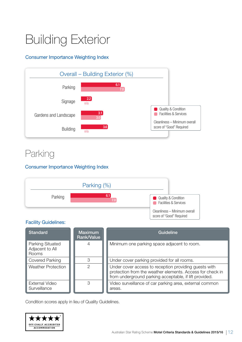## Building Exterior

#### Consumer Importance Weighting Index



### Parking

#### Consumer Importance Weighting Index



#### Facility Guidelines:

| <b>Standard</b>                                     | <b>Maximum</b><br>Rank/Value | Guideline                                                                                                                                                                    |
|-----------------------------------------------------|------------------------------|------------------------------------------------------------------------------------------------------------------------------------------------------------------------------|
| Parking Situated<br>Adjacent to All<br><b>Rooms</b> |                              | Minimum one parking space adjacent to room.                                                                                                                                  |
| Covered Parking                                     | З                            | Under cover parking provided for all rooms.                                                                                                                                  |
| <b>Weather Protection</b>                           | っ                            | Under cover access to reception providing guests with<br>protection from the weather elements. Access for check in<br>from underground parking acceptable, if lift provided. |
| External Video<br>Surveillance                      | З                            | Video surveillance of car parking area, external common<br>areas.                                                                                                            |

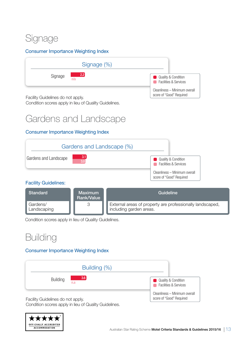### Signage

#### Consumer Importance Weighting Index



Condition scores apply in lieu of Quality Guidelines.

### Gardens and Landscape

#### Consumer Importance Weighting Index



#### Facility Guidelines:

| Standard                         | <b>Maximum</b><br>Rank/Value | Guideline                                                                            |
|----------------------------------|------------------------------|--------------------------------------------------------------------------------------|
| <b>■ Gardens/</b><br>Landscaping |                              | External areas of property are professionally landscaped,<br>including garden areas. |

Condition scores apply in lieu of Quality Guidelines.

### **Building**

#### Consumer Importance Weighting Index



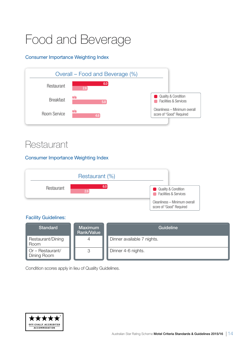## Food and Beverage

#### Consumer Importance Weighting Index



### **Restaurant**

#### Consumer Importance Weighting Index



#### Facility Guidelines:

| <b>Standard</b>                        | <b>Maximum</b><br><b>Rank/Value</b> | Guideline                  |
|----------------------------------------|-------------------------------------|----------------------------|
| Restaurant/Dining<br>Room              | 4                                   | Dinner available 7 nights. |
| $\Box$ Or – Restaurant/<br>Dining Room |                                     | Dinner 4-6 nights.         |

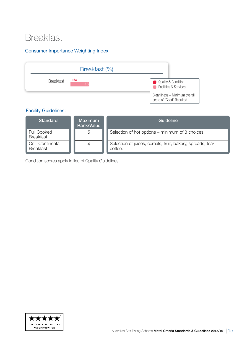### Breakfast

#### Consumer Importance Weighting Index



#### Facility Guidelines:

| <b>Standard</b>                              | <b>Maximum</b><br>Rank/Value | Guideline                                                             |
|----------------------------------------------|------------------------------|-----------------------------------------------------------------------|
| <b>Full Cooked</b><br><b>Breakfast</b>       | <sub>5</sub>                 | Selection of hot options – minimum of 3 choices.                      |
| $\circ$ Or – Continental<br><b>Breakfast</b> |                              | Selection of juices, cereals, fruit, bakery, spreads, tea/<br>coffee. |

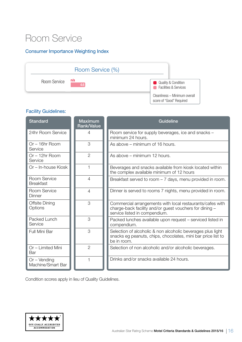### Room Service

#### Consumer Importance Weighting Index



#### Facility Guidelines:

| <b>Standard</b>                   | <b>Maximum</b><br><b>Rank/Value</b> | Guideline                                                                                                                                             |  |
|-----------------------------------|-------------------------------------|-------------------------------------------------------------------------------------------------------------------------------------------------------|--|
| 24hr Room Service                 | $\overline{4}$                      | Room service for supply beverages, ice and snacks -<br>minimum 24 hours.                                                                              |  |
| $Or - 16hr$ Room<br>Service       | 3                                   | As above – minimum of 16 hours.                                                                                                                       |  |
| Or - 12hr Room<br>Service         | $\overline{2}$                      | As above – minimum 12 hours.                                                                                                                          |  |
| Or - In-house Kiosk               |                                     | Beverages and snacks available from kiosk located within<br>the complex available minimum of 12 hours                                                 |  |
| Room Service<br><b>Breakfast</b>  | $\overline{4}$                      | Breakfast served to room $-7$ days, menu provided in room.                                                                                            |  |
| Room Service<br>Dinner            | $\overline{4}$                      | Dinner is served to rooms 7 nights, menu provided in room.                                                                                            |  |
| Offsite Dining<br>Options         | 3                                   | Commercial arrangements with local restaurants/cafes with<br>charge-back facility and/or guest vouchers for dining -<br>service listed in compendium. |  |
| Packed Lunch<br>Service           | 3                                   | Packed lunches available upon request - serviced listed in<br>compendium.                                                                             |  |
| Full Mini Bar                     | 3                                   | Selection of alcoholic & non alcoholic beverages plus light<br>snacks eg peanuts, chips, chocolates, mini bar price list to<br>be in room.            |  |
| Or - Limited Mini<br>Bar          | $\overline{2}$                      | Selection of non alcoholic and/or alcoholic beverages.                                                                                                |  |
| Or - Vending<br>Machine/Smart Bar |                                     | Drinks and/or snacks available 24 hours.                                                                                                              |  |

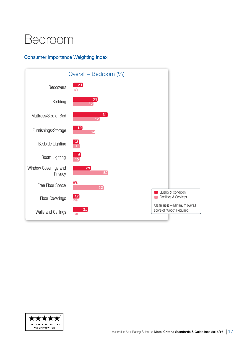## Bedroom

#### Consumer Importance Weighting Index



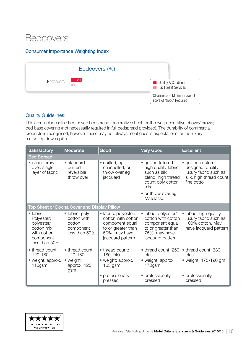### Bedcovers

#### Consumer Importance Weighting Index



#### Quality Guidelines:

This area includes: the bed cover: bedspread; decorative sheet; quilt cover; decorative pillows/throws; bed base covering (not necessarily required in full bedspread provided). The durability of commercial products is recognised, however these may not always meet guest's expectations for the luxury market eg down quilts.

| <b>Satisfactory</b>                                                                              | Moderate                                                              | Good                                                                                                                     | <b>Very Good</b>                                                                                                                                 | <b>Excellent</b>                                                                                        |  |  |
|--------------------------------------------------------------------------------------------------|-----------------------------------------------------------------------|--------------------------------------------------------------------------------------------------------------------------|--------------------------------------------------------------------------------------------------------------------------------------------------|---------------------------------------------------------------------------------------------------------|--|--|
| <b>Bed Spread</b>                                                                                |                                                                       |                                                                                                                          |                                                                                                                                                  |                                                                                                         |  |  |
| • basic throw<br>over, single<br>layer of fabric                                                 | • standard<br>quilted<br>reversible<br>throw over                     | • quilted, eg<br>channelled; or<br>throw over eg<br>jacquard                                                             | • quilted tailored-<br>high quality fabric<br>such as silk<br>blend, high thread<br>count poly cotton<br>mix:<br>• or throw over eg<br>Matelassé | · quilted custom<br>designed, quality<br>luxury fabric such as<br>silk, high thread count<br>fine cotto |  |  |
|                                                                                                  | Top Sheet or Doona Cover and Display Pillow                           |                                                                                                                          |                                                                                                                                                  |                                                                                                         |  |  |
| • fabric:<br>Polyester;<br>polyester/<br>cotton mix<br>with cotton<br>component<br>less than 50% | • fabric: poly<br>cotton with<br>cotton<br>component<br>less than 50% | • fabric: polyester/<br>cotton with cotton<br>component equal<br>to or greater than<br>50%, may have<br>jacquard pattern | · fabric: polyester/<br>cotton with cotton<br>component equal<br>to or greater than<br>75%; may have<br>jacquard pattern                         | • fabric: high quality<br>luxury fabric such as<br>100% cotton. May<br>have jacquard pattern            |  |  |
| • thread count:<br>120-180<br>• weight: approx.<br>110gsm                                        | • thread count:<br>120-180<br>• weight:<br>approx. 125<br>gsm         | • thread count:<br>180-240<br>• weight: approx.<br>165 gsm                                                               | • thread count: 250<br>plus<br>• weight: approx<br>170gsm                                                                                        | • thread count: 330<br>plus<br>• weight: 175-190 gm                                                     |  |  |
|                                                                                                  |                                                                       | • professionally<br>pressed                                                                                              | • professionally<br>pressed                                                                                                                      | • professionally<br>pressed                                                                             |  |  |

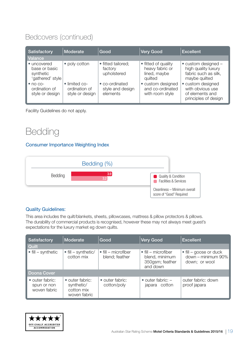### Bedcovers (continued)

| Satisfactory                                                                                                          | Moderate                                                           | Good                                                                                           | <b>Very Good</b>                                                                                                              | <b>Excellent</b>                                                                                                                                          |
|-----------------------------------------------------------------------------------------------------------------------|--------------------------------------------------------------------|------------------------------------------------------------------------------------------------|-------------------------------------------------------------------------------------------------------------------------------|-----------------------------------------------------------------------------------------------------------------------------------------------------------|
| Valance                                                                                                               |                                                                    |                                                                                                |                                                                                                                               |                                                                                                                                                           |
| • uncovered<br>base or basic<br>synthetic<br>'gathered' style<br>$\bullet$ no co-<br>ordination of<br>style or design | • poly cotton<br>• limited co-<br>ordination of<br>style or design | • fitted tailored;<br>factory<br>upholstered<br>• co-ordinated<br>style and design<br>elements | • fitted of quality<br>heavy fabric or<br>lined, maybe<br>quilted<br>• custom designed<br>and co-ordinated<br>with room style | $\bullet$ custom designed $-$<br>high quality luxury<br>fabric such as silk,<br>maybe quilted<br>• custom designed<br>with obvious use<br>of elements and |
|                                                                                                                       |                                                                    |                                                                                                |                                                                                                                               | principles of design                                                                                                                                      |

Facility Guidelines do not apply.

### Bedding

#### Consumer Importance Weighting Index



#### Quality Guidelines:

This area includes the quilt/blankets, sheets, pillowcases, mattress & pillow protectors & pillows. The durability of commercial products is recognised, however these may not always meet guest's expectations for the luxury market eg down quilts.

| Satisfactory                                   | Moderate                                                    | Good                                          | <b>Very Good</b>                                                             | <b>Excellent</b>                                                      |
|------------------------------------------------|-------------------------------------------------------------|-----------------------------------------------|------------------------------------------------------------------------------|-----------------------------------------------------------------------|
| Quilt                                          |                                                             |                                               |                                                                              |                                                                       |
| $\bullet$ fill – synthetic                     | $\bullet$ fill – synthetic/<br>cotton mix                   | $\bullet$ fill – microfiber<br>blend; feather | $\bullet$ fill – microfiber<br>blend, minimum<br>350gsm; feather<br>and down | $\bullet$ fill – goose or duck<br>down - minimum 90%<br>down; or wool |
| <b>Doona Cover</b>                             |                                                             |                                               |                                                                              |                                                                       |
| • outer fabric:<br>spun or non<br>woven fabric | • outer fabric:<br>synthetic/<br>cotton mix<br>woven fabric | • outer fabric:<br>cotton/poly                | $\bullet$ outer fabric: $-$<br>japara cotton                                 | outer fabric: down<br>proof japara                                    |

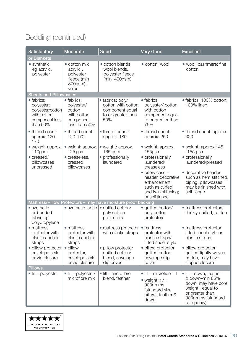### Bedding (continued)

| Satisfactory                                                                              | <b>Moderate</b>                                                                 | Good                                                                                   | <b>Very Good</b>                                                                                                                                                                                         | <b>Excellent</b>                                                                                                                                                                          |
|-------------------------------------------------------------------------------------------|---------------------------------------------------------------------------------|----------------------------------------------------------------------------------------|----------------------------------------------------------------------------------------------------------------------------------------------------------------------------------------------------------|-------------------------------------------------------------------------------------------------------------------------------------------------------------------------------------------|
| or Blankets                                                                               |                                                                                 |                                                                                        |                                                                                                                                                                                                          |                                                                                                                                                                                           |
| • synthetic<br>eg acrylic,<br>polyester                                                   | • cotton mix<br>acrylic,<br>polyester<br>fleece (min<br>370gsm),<br>velour      | • cotton blends,<br>wool blends,<br>polyester fleece<br>$(min 400$ gsm $)$             | · cotton, wool                                                                                                                                                                                           | • wool; cashmere; fine<br>cotton                                                                                                                                                          |
| <b>Sheets and Pillowcases</b>                                                             |                                                                                 |                                                                                        |                                                                                                                                                                                                          |                                                                                                                                                                                           |
| · fabrics:<br>polyester;<br>polyester/cotton<br>with cotton<br>component less<br>than 50% | · fabrics:<br>polyester/<br>cotton<br>with cotton<br>component<br>less than 50% | · fabrics: poly/<br>cotton with cotton<br>component equal<br>to or greater than<br>50% | • fabrics:<br>polyester/cotton<br>with cotton<br>component equal<br>to or greater than<br>75%                                                                                                            | • fabrics: 100% cotton;<br>100% linen                                                                                                                                                     |
| • thread count:<br>approx. 120-<br>170                                                    | • thread count:<br>120-170                                                      | • thread count:<br>approx. 180                                                         | • thread count:<br>approx. 250                                                                                                                                                                           | • thread count: approx.<br>320                                                                                                                                                            |
| · weight: approx.<br>110gsm<br>• creased/<br>pillowcases<br>unpressed                     | • weight: approx.<br>$125$ gsm<br>· creaseless.<br>pressed<br>pillowcases       | • weight: approx.<br>165 gsm<br>• professionally<br>laundered                          | • weight: approx.<br>155gsm<br>• professionally<br>laundered/<br>creaseless<br>$\bullet$ pillow case $-$<br>header, decorative<br>enhancement<br>such as cuffed<br>and twin stitching;<br>or self flange | • weight: approx 145<br>$-155$ gsm<br>• professionally<br>laundered/pressed<br>· decorative header<br>such as hem stitched,<br>piping, pillowcases<br>may be finished with<br>self flange |
|                                                                                           |                                                                                 | Mattress/Pillow Protectors - may have moisture proof backing                           |                                                                                                                                                                                                          |                                                                                                                                                                                           |
| • synthetic<br>or bonded<br>fabric eg<br>polypropylene                                    | • synthetic fabric                                                              | • quilted cotton/<br>poly cotton<br>protectors                                         | · quilted cotton/<br>poly cotton<br>protectors                                                                                                                                                           | • mattress protectors<br>thickly quilted, cotton                                                                                                                                          |
| • mattress<br>protector with<br>elastic anchor<br>straps                                  | • mattress<br>protector with<br>elastic anchor<br>straps                        | • mattress protector   • mattress<br>with elastic straps                               | protector with<br>elastic straps/<br>fitted sheet style                                                                                                                                                  | · mattress protector<br>fitted sheet style or<br>elastic straps                                                                                                                           |
| • pillow protector<br>envelope style<br>or zip closure                                    | • pillow<br>protector,<br>envelope style<br>or zip closure                      | • pillow protector<br>quilted cotton/<br>blend, envelope<br>slip cover                 | pillow protector<br>quilted cotton<br>envelope slip<br>cover                                                                                                                                             | • pillow protector<br>quilted tightly woven<br>cotton, may have<br>zipped closure                                                                                                         |
| <b>Pillows</b>                                                                            |                                                                                 |                                                                                        |                                                                                                                                                                                                          |                                                                                                                                                                                           |
| $\bullet$ fill – polyester                                                                | • fill - polyester/<br>microfibre mix                                           | $\bullet$ fill – microfibre<br>blend, feather                                          | • fill – microfiber fill<br>• weight: $\gt$ /=<br>900grams<br>(standard size<br>pillow), feather &<br>down;                                                                                              | • fill – down; feather<br>& down-min 85%<br>down, may have core<br>weight: equal to<br>or greater than<br>900grams (standard<br>size pillow);                                             |

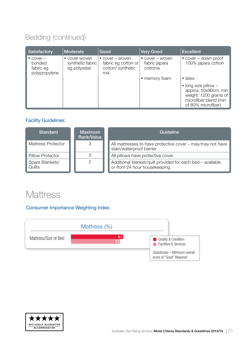### Bedding (continued)

| Satisfactory                                                | <b>Moderate</b>                                   | Good                                                                      | <b>Very Good</b>                                                       | <b>Excellent</b>                                                                                                                                                                                        |
|-------------------------------------------------------------|---------------------------------------------------|---------------------------------------------------------------------------|------------------------------------------------------------------------|---------------------------------------------------------------------------------------------------------------------------------------------------------------------------------------------------------|
| $\bullet$ cover $-$<br>bonded<br>fabric eg<br>polypropylene | • cover woven<br>synthetic fabric<br>eg polyester | $\bullet$ cover – woven<br>fabric eg cotton or<br>cotton/synthetic<br>mix | $\bullet$ cover $-$ woven<br>fabric japara<br>cottonw<br>• memory foam | $\bullet$ cover – down proof<br>100% japara cotton<br>$\bullet$ latex<br>$\bullet$ king size pillow $-$<br>approx. 50x90cm, min<br>weight: 1200 grams of<br>microfiber blend (min<br>of 80% microfiber) |

#### Facility Guidelines:

| <b>Standard</b>           | <b>Maximum</b><br>Rank/Value | Guideline                                                                                   |
|---------------------------|------------------------------|---------------------------------------------------------------------------------------------|
| <b>Mattress Protector</b> |                              | All mattresses to have protective cover - may/may not have<br>stain/waterproof barrier.     |
| <b>Pillow Protector</b>   |                              | All pillows have protective cover.                                                          |
| Spare Blankets/<br>Quilts |                              | Additional blanket/quilt provided for each bed - available<br>or from 24 hour housekeeping. |

### **Mattress**

#### Consumer Importance Weighting Index



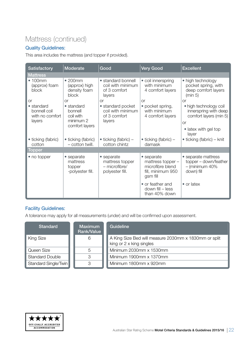### Mattress (continued)

#### Quality Guidelines:

This area includes the mattress (and topper if provided).

| <b>Satisfactory</b>                                     | Moderate                                                          | Good                                                              | Very Good                                                                            | <b>Excellent</b>                                                                                                        |
|---------------------------------------------------------|-------------------------------------------------------------------|-------------------------------------------------------------------|--------------------------------------------------------------------------------------|-------------------------------------------------------------------------------------------------------------------------|
| <b>Mattress</b>                                         |                                                                   |                                                                   |                                                                                      |                                                                                                                         |
| $\bullet$ 100mm<br>(approx) foam<br>block               | • 200mm<br>(approx) high<br>density foam<br>block                 | • standard bonnell<br>coil with minimum<br>of 3 comfort<br>layers | • coil innerspring<br>with minimum<br>4 comfort layers                               | • high technology<br>pocket spring, with<br>deep comfort layers<br>(min 5)                                              |
| <b>or</b>                                               | <b>or</b>                                                         | <b>or</b>                                                         | or                                                                                   | <b>or</b>                                                                                                               |
| • standard<br>bonnell coil<br>with no comfort<br>layers | • standard<br>bonnell<br>coil with<br>minimum 2<br>comfort layers | • standard pocket<br>coil with minimum<br>of 3 comfort<br>layers  | • pocket spring,<br>with minimum<br>4 comfort layers                                 | • high technology coil<br>innerspring with deep<br>comfort layers (min 5)<br><b>or</b><br>• latex with gel top<br>layer |
| • ticking (fabric)<br>cotton                            | • ticking (fabric)<br>- cotton twill.                             | $\bullet$ ticking (fabric) –<br>cotton chintz                     | $\bullet$ ticking (fabric) –<br>damask                                               | $\bullet$ ticking (fabric) – knit                                                                                       |
| <b>Topper</b>                                           |                                                                   |                                                                   |                                                                                      |                                                                                                                         |
| • no topper                                             | • separate<br>mattress<br>topper<br>-polyester fill.              | • separate<br>mattress topper<br>- microfibre/<br>polyester fill. | • separate<br>mattress topper -<br>microfibre blend<br>fill, minimum 950<br>gsm fill | • separate mattress<br>topper - down/feather<br>$-$ (minimum 40%<br>down) fill                                          |
|                                                         |                                                                   |                                                                   | • or feather and<br>down fill - less<br>than 40% down                                | $\bullet$ or latex                                                                                                      |

#### Facility Guidelines:

A tolerance may apply for all measurements (under) and will be confirmed upon assessment.

| <b>Standard</b>        | <b>Maximum</b><br>Rank/Value | Guideline                                                                         |  |
|------------------------|------------------------------|-----------------------------------------------------------------------------------|--|
| <b>King Size</b>       | 6                            | A King Size Bed will measure 2030mm x 1830mm or split<br>king or 2 x king singles |  |
| Queen Size             | 5                            | Minimum 2030mm x 1530mm                                                           |  |
| <b>Standard Double</b> | 3                            | Minimum 1900mm x 1370mm                                                           |  |
| Standard Single/Twin   | 3                            | Minimum 1800mm x 920mm                                                            |  |

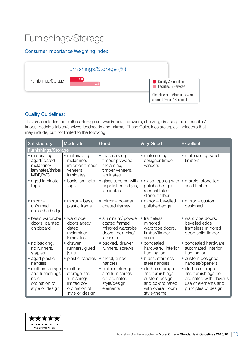### Furnishings/Storage

#### Consumer Importance Weighting Index



#### Quality Guidelines:

This area includes the clothes storage i.e. wardrobe(s), drawers, shelving, dressing table, handles/ knobs, bedside tables/shelves, bedheads and mirrors. These Guidelines are typical indicators that may include, but not limited to the following:

| <b>Satisfactory</b>                                                                | <b>Moderate</b>                                                                            | Good                                                                                       | <b>Very Good</b>                                                                                              | <b>Excellent</b>                                                                                                  |
|------------------------------------------------------------------------------------|--------------------------------------------------------------------------------------------|--------------------------------------------------------------------------------------------|---------------------------------------------------------------------------------------------------------------|-------------------------------------------------------------------------------------------------------------------|
| <b>Furnishings/Storage</b>                                                         |                                                                                            |                                                                                            |                                                                                                               |                                                                                                                   |
| • material eg<br>aged/ dated<br>melamine/<br>laminates/timber<br>MDF, PVC          | · materials eg<br>melamine,<br>imitation timber<br>veneers,<br>laminates                   | • materials eg<br>timber plywood,<br>melamine,<br>timber veneers,<br>laminates             | • materials eg<br>designer timber<br>veneers                                                                  | • materials eg solid<br>timbers                                                                                   |
| • aged laminate<br>tops                                                            | · basic laminate<br>tops                                                                   | • glass tops eg with<br>unpolished edges,<br>laminates                                     | • glass tops eg with<br>polished edges<br>reconstituted<br>stone, timber                                      | • marble, stone top,<br>solid timber                                                                              |
| $\bullet$ mirror $-$<br>unframed,<br>unpolished edge                               | $\bullet$ mirror – basic<br>plastic frame                                                  | $\bullet$ mirror – powder<br>coated framew                                                 | $\bullet$ mirror – bevelled,<br>polished edge                                                                 | $\bullet$ mirror – custom<br>designed                                                                             |
| • basic wardrobe<br>doors, painted<br>chipboard                                    | • wardrobe<br>doors aged/<br>dated<br>melamine/<br>laminates                               | · aluminium/ powder<br>coated framed,<br>mirrored wardrobe<br>doors, melamine/<br>laminate | • frameless<br>mirrored<br>wardrobe doors,<br>timber/timber<br>veneer                                         | • wardrobe doors:<br>bevelled edge<br>frameless mirrored<br>door; solid timber                                    |
| • no backing,<br>no runners,<br>staples                                            | • drawer<br>runners, glued<br>joins                                                        | • backed, drawer<br>runners, screws                                                        | • concealed<br>hardware, interior<br>illumination                                                             | • concealed hardware,<br>automated interior<br>illumination.                                                      |
| • aged plastic<br>handles                                                          | • plastic handles                                                                          | · metal, timber<br>handles                                                                 | · brass, stainless<br>steel handles                                                                           | • custom designed<br>handles/openers                                                                              |
| • clothes storage<br>and furnishings<br>no co-<br>ordination of<br>style or design | • clothes<br>storage and<br>furnishings<br>limited co-<br>ordination of<br>style or design | • clothes storage<br>and furnishings<br>co-ordinated<br>style/design<br>elements           | • clothes storage<br>and furnishings<br>custom design<br>and co-ordinated<br>with overall room<br>style/theme | • clothes storage<br>and furnishings co-<br>ordinated with obvious<br>use of elements and<br>principles of design |

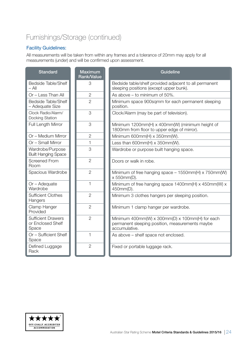### Furnishings/Storage (continued)

#### Facility Guidelines:

All measurements will be taken from within any frames and a tolerance of 20mm may apply for all measurements (under) and will be confirmed upon assessment.

| <b>Standard</b>                                         | <b>Maximum</b><br><b>Rank/Value</b> | Guideline                                                                                                           |
|---------------------------------------------------------|-------------------------------------|---------------------------------------------------------------------------------------------------------------------|
| Bedside Table/Shelf<br>$-$ All                          | 3                                   | Bedside table/shelf provided adjacent to all permanent<br>sleeping positions (except upper bunk).                   |
| Or - Less Than All                                      | $\overline{2}$                      | As above $-$ to minimum of 50%.                                                                                     |
| <b>Bedside Table/Shelf</b><br>- Adequate Size           | $\overline{2}$                      | Minimum space 900sqmm for each permanent sleeping<br>position.                                                      |
| Clock Radio/Alarm/<br>Docking Station                   | 3                                   | Clock/Alarm (may be part of television).                                                                            |
| Full Length Mirror                                      | 3                                   | Minimum 1200mm(H) x 400mm(W) (minimum height of<br>1800mm from floor to upper edge of mirror).                      |
| Or - Medium Mirror                                      | $\overline{2}$                      | Minimum 600mm(H) x 350mm(W).                                                                                        |
| Or - Small Mirror                                       | 1                                   | Less than $600mm(H) \times 350mm(W)$ .                                                                              |
| Wardrobe/Purpose<br><b>Built Hanging Space</b>          | 3                                   | Wardrobe or purpose built hanging space.                                                                            |
| <b>Screened From</b><br>Room                            | $\overline{2}$                      | Doors or walk in robe.                                                                                              |
| Spacious Wardrobe                                       | $\overline{2}$                      | Minimum of free hanging space $-1550$ mm(H) x 750mm(W)<br>x 550mm(D).                                               |
| Or - Adequate<br>Wardrobe                               | 1                                   | Minimum of free hanging space 1400mm(H) x 450mm(W) x<br>450mm(D).                                                   |
| <b>Sufficient Clothes</b><br>Hangers                    | $\overline{2}$                      | Minimum 3 clothes hangers per sleeping position.                                                                    |
| Clamp Hanger<br>Provided                                | $\overline{2}$                      | Minimum 1 clamp hanger per wardrobe.                                                                                |
| <b>Sufficient Drawers</b><br>or Enclosed Shelf<br>Space | $\overline{2}$                      | Minimum 400mm(W) x 300mm(D) x 100mm(H) for each<br>permanent sleeping position, measurements maybe<br>accumulative. |
| Or - Sufficient Shelf<br>Space                          | $\mathbf{1}$                        | As above - shelf space not enclosed.                                                                                |
| Defined Luggage<br>Rack                                 | $\overline{2}$                      | Fixed or portable luggage rack.                                                                                     |

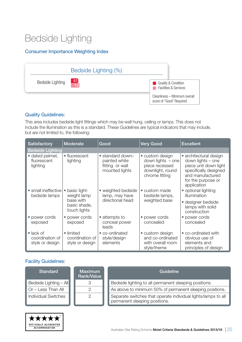### Bedside Lighting

#### Consumer Importance Weighting Index

|                  | Bedside Lighting (%)                             |                                                           |
|------------------|--------------------------------------------------|-----------------------------------------------------------|
| Bedside Lighting | $\begin{array}{c} 0.7 \\ \hline 1.3 \end{array}$ | Quality & Condition<br><b>Facilities &amp; Services</b>   |
|                  |                                                  | Cleanliness - Minimum overall<br>score of "Good" Required |

#### Quality Guidelines:

This area includes bedside light fittings which may be wall hung, ceiling or lamps. This does not include the illumination as this is a standard. These Guidelines are typical indicators that may include, but are not limited to, the following:

| <b>Satisfactory</b>                                     | <b>Moderate</b>                                 | Good                                                                   | <b>Very Good</b>                                                                                 | <b>Excellent</b>                                                                                                                                       |
|---------------------------------------------------------|-------------------------------------------------|------------------------------------------------------------------------|--------------------------------------------------------------------------------------------------|--------------------------------------------------------------------------------------------------------------------------------------------------------|
| <b>Bedside Lighting</b>                                 |                                                 |                                                                        |                                                                                                  |                                                                                                                                                        |
| · dated pelmet,<br>fluorescent<br>lighting              | • fluorescent<br>lighting                       | • standard down-<br>painted white<br>fitting or wall<br>mounted lights | • custom design<br>$down$ lights $-$ one<br>piece recessed<br>downlight, round<br>chrome fitting | • architectural design<br>down lights – one<br>piece unit down light<br>specifically designed<br>and manufactured<br>for the purpose or<br>application |
| • small ineffective<br>bedside lamps                    | basic light-<br>$\bullet$<br>weight lamp        | • weighted bedside<br>lamp, may have                                   | • custom made<br>bedside lamps,                                                                  | • optional lighting<br>illumination                                                                                                                    |
|                                                         | base with<br>basic shade,<br>touch lights       | directional head                                                       | weighted base                                                                                    | • designer bedside<br>lamps with solid<br>construction                                                                                                 |
| • power cords<br>exposed                                | power cords<br>exposed                          | • attempts to<br>conceal power<br>leads                                | • power cords<br>concealed                                                                       | • power cords<br>concealed                                                                                                                             |
| $\bullet$ lack of<br>coordination of<br>style or design | • limited<br>coordination of<br>style or design | • co-ordinated<br>style/design<br>elements                             | • custom design<br>and co-ordinated<br>with overall room<br>style/theme                          | • co-ordinated with<br>obvious use of<br>elements and<br>principles of design                                                                          |

#### Facility Guidelines:

| <b>Standard</b>                   | <b>Maximum</b><br>Rank/Value | Guideline                                                                                      |
|-----------------------------------|------------------------------|------------------------------------------------------------------------------------------------|
| Bedside Lighting - All            |                              | Bedside lighting to all permanent sleeping positions.                                          |
| $\blacksquare$ Or – Less Than All |                              | As above to minimum 50% of permanent sleeping positions.                                       |
| <b>Individual Switches</b>        |                              | Separate switches that operate individual lights/lamps to all<br>permanent sleeping positions. |

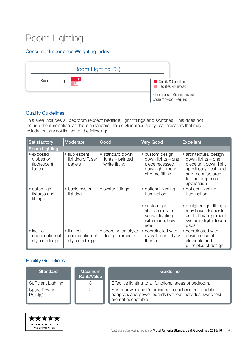### Room Lighting

#### Consumer Importance Weighting Index



#### Quality Guidelines:

This area includes all bedroom (except bedside) light fittings and switches. This does not include the illumination, as this is a standard. These Guidelines are typical indicators that may include, but are not limited to, the following:

| <b>Satisfactory</b>                                     | Moderate                                        | Good                                                 | <b>Very Good</b>                                                                             | <b>Excellent</b>                                                                                                                                       |
|---------------------------------------------------------|-------------------------------------------------|------------------------------------------------------|----------------------------------------------------------------------------------------------|--------------------------------------------------------------------------------------------------------------------------------------------------------|
| <b>Room Lighting</b>                                    |                                                 |                                                      |                                                                                              |                                                                                                                                                        |
| • exposed<br>globes or<br>fluorescent<br>tubes          | • fluorescent<br>lighting diffuser<br>panels    | • standard down<br>lights - painted<br>white fitting | • custom design<br>down lights - one<br>piece recessed<br>downlight, round<br>chrome fitting | • architectural design<br>down lights – one<br>piece unit down light<br>specifically designed<br>and manufactured<br>for the purpose or<br>application |
| • dated light<br>fixtures and<br>fittings               | basic oyster<br>$\bullet$<br>lighting           | • oyster fittings                                    | • optional lighting<br>illumination                                                          | · optional lighting<br>illumination                                                                                                                    |
|                                                         |                                                 |                                                      | • custom light<br>shades may be<br>sensor lighting<br>with manual over-<br>ride              | • designer light fittings,<br>may have electronic<br>control management<br>system, digital touch<br>pads                                               |
| $\bullet$ lack of<br>coordination of<br>style or design | • limited<br>coordination of<br>style or design | • coordinated style/<br>design elements              | • coordinated with<br>overall room style/<br>theme                                           | • coordinated with<br>obvious use of<br>elements and<br>principles of design                                                                           |

#### Facility Guidelines:

| <b>Standard</b>         | <b>Maximum</b><br>Rank/Value | Guideline                                                                                                                            |
|-------------------------|------------------------------|--------------------------------------------------------------------------------------------------------------------------------------|
| Sufficient Lighting     |                              | Effective lighting to all functional areas of bedroom.                                                                               |
| Spare Power<br>Point(s) |                              | Spare power point/s provided in each room - double<br>adaptors and power boards (without individual switches)<br>are not acceptable. |

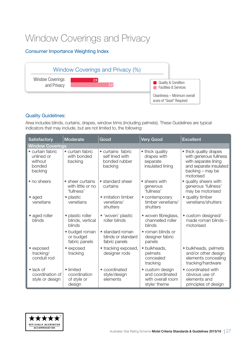### Window Coverings and Privacy

#### Consumer Importance Weighting Index



#### Quality Guidelines:

Area includes blinds, curtains, drapes, window trims (including pelmets). These Guidelines are typical indicators that may include, but are not limited to, the following:

| Satisfactory                                                   | Moderate                                                  | Good                                                             | <b>Very Good</b>                                                        | <b>Excellent</b>                                                                                                                    |  |  |
|----------------------------------------------------------------|-----------------------------------------------------------|------------------------------------------------------------------|-------------------------------------------------------------------------|-------------------------------------------------------------------------------------------------------------------------------------|--|--|
| <b>Window Coverings</b>                                        |                                                           |                                                                  |                                                                         |                                                                                                                                     |  |  |
| • curtain fabric<br>unlined or<br>without<br>bonded<br>backing | • curtain fabric<br>with bonded<br>backing                | • curtains fabric<br>self lined with<br>bonded rubber<br>backing | • thick quality<br>drapes with<br>separate<br>insulated lining          | • thick quality drapes<br>with generous fullness<br>with separate lining<br>and separate insulated<br>backing - may be<br>motorised |  |  |
| • no sheers                                                    | • sheer curtains<br>with little or no<br>'fullness'       | • standard sheer<br>curtains                                     | • sheers with<br>generous<br>'fullness'                                 | • quality sheers with<br>generous 'fullness'<br>may be motorised                                                                    |  |  |
| $\bullet$ aged<br>venetians                                    | • plastic<br>venetians                                    | • imitation timber<br>venetians/<br>shutters                     | • contemporary<br>timber venetians/<br>shutters                         | • quality timber<br>venetians/shutters                                                                                              |  |  |
| • aged roller<br>blinds                                        | plastic roller<br>$\bullet$<br>blinds, vertical<br>blinds | • 'woven' plastic<br>roller blinds                               | • woven fibreglass,<br>channelled roller<br>blinds                      | • custom designed/<br>made roman blinds -<br>motorised                                                                              |  |  |
|                                                                | • budget roman<br>or budget<br>fabric panels              | • standard roman<br>blinds or standard<br>fabric panels          | • roman blinds or<br>designer fabric<br>panels                          |                                                                                                                                     |  |  |
| • exposed<br>tracking/<br>conduit rod                          | • exposed<br>tracking                                     | • tracking exposed,<br>designer rods                             | · bulkheads,<br>pelmets<br>concealed<br>tracking                        | • bulkheads, pelmets<br>and/or other design<br>elements concealing<br>tracking/hardware                                             |  |  |
| $\bullet$ lack of<br>coordination of<br>style or design        | • limited<br>coordination<br>of style or<br>design        | • coordinated<br>style/design<br>elements                        | • custom design<br>and coordinated<br>with overall room<br>style/ theme | • coordinated with<br>obvious use of<br>elements and<br>principles of design                                                        |  |  |

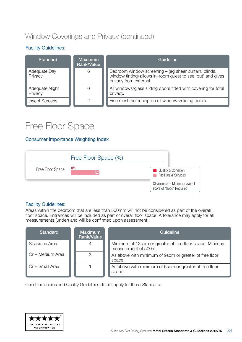### Window Coverings and Privacy (continued)

#### Facility Guidelines:

| <b>Standard</b>           | <b>Maximum</b><br>Rank/Value | Guideline                                                                                                                                      |
|---------------------------|------------------------------|------------------------------------------------------------------------------------------------------------------------------------------------|
| Adequate Day<br>Privacy   | 6                            | Bedroom window screening - (eg sheer curtain, blinds,<br>window tinting) allows in-room guest to see 'out' and gives<br>privacy from external. |
| Adequate Night<br>Privacy | 6                            | All windows/glass sliding doors fitted with covering for total<br>privacy.                                                                     |
| <b>Insect Screens</b>     | ⌒                            | Fine mesh screening on all windows/sliding doors.                                                                                              |

### Free Floor Space

#### Consumer Importance Weighting Index



#### Facility Guidelines:

Areas within the bedroom that are less than 500mm will not be considered as part of the overall floor space. Entrances will be included as part of overall floor space. A tolerance may apply for all measurements (under) and will be confirmed upon assessment.

| <b>Standard</b>  | <b>Maximum</b><br>Rank/Value | Guideline                                                                        |
|------------------|------------------------------|----------------------------------------------------------------------------------|
| Spacious Area    | 4                            | Minimum of 12sqm or greater of free floor space. Minimum<br>measurement of 500m. |
| Or - Medium Area | 3                            | As above with minimum of 9sqm or greater of free floor<br>space.                 |
| Or - Small Area  |                              | As above with minimum of 6sqm or greater of free floor<br>space.                 |

Condition scores and Quality Guidelines do not apply for these Standards.

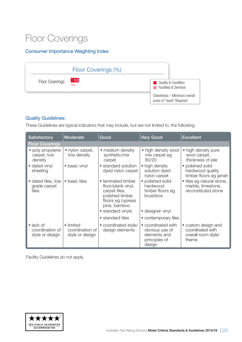### Floor Coverings

#### Consumer Importance Weighting Index



#### Quality Guidelines:

These Guidelines are typical indicators that may include, but are not limited to, the following:

| <b>Satisfactory</b>                                     | Moderate                                        | Good                                                                                                              | <b>Very Good</b>                                                                | <b>Excellent</b>                                                        |  |  |  |
|---------------------------------------------------------|-------------------------------------------------|-------------------------------------------------------------------------------------------------------------------|---------------------------------------------------------------------------------|-------------------------------------------------------------------------|--|--|--|
| <b>Floor Coverings</b>                                  |                                                 |                                                                                                                   |                                                                                 |                                                                         |  |  |  |
| • poly propylene<br>carpet, low<br>density              | • nylon carpet,<br>low density                  | • medium density<br>synthetic/mix<br>carpet                                                                       | • high density wool<br>mix carpet eg<br>80/20                                   | • high density pure<br>wool carpet,<br>thickness of pile                |  |  |  |
| • dated vinyl<br>sheeting                               | • basic vinyl                                   | • standard solution<br>dyed nylon carpet                                                                          | • high density<br>solution dyed<br>nylon carpet                                 | • polished solid<br>hardwood quality<br>timber floors eg jarrah         |  |  |  |
| • dated tiles, low<br>grade carpet<br>tiles             | • basic tiles                                   | • laminated timber<br>floor/plank vinyl,<br>carpet tiles,<br>polished timber<br>floors eg cypress<br>pine, bamboo | • polished solid<br>hardwood<br>timber floors eg<br>brushbox                    | • tiles eg natural stone,<br>marble, limestone,<br>reconstituted stone  |  |  |  |
|                                                         |                                                 | • standard vinyls                                                                                                 | • designer vinyl                                                                |                                                                         |  |  |  |
|                                                         |                                                 | • standard tiles                                                                                                  | • contemporary tiles                                                            |                                                                         |  |  |  |
| $\bullet$ lack of<br>coordination of<br>style or design | • limited<br>coordination of<br>style or design | • coordinated style/<br>design elements                                                                           | • coordinated with<br>obvious use of<br>elements and<br>principles of<br>design | • custom design and<br>coordinated with<br>overall room style/<br>theme |  |  |  |

Facility Guidelines do not apply.

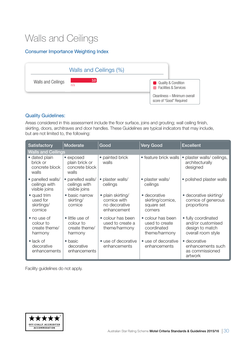### Walls and Ceilings

#### Consumer Importance Weighting Index



#### Quality Guidelines:

Areas considered in this assessment include the floor surface, joins and grouting; wall ceiling finish, skirting, doors, architraves and door handles. These Guidelines are typical indicators that may include, but are not limited to, the following:

| <b>Satisfactory</b>                                  | Moderate                                                 | Good                                                              | <b>Very Good</b>                                                    | <b>Excellent</b>                                                                  |
|------------------------------------------------------|----------------------------------------------------------|-------------------------------------------------------------------|---------------------------------------------------------------------|-----------------------------------------------------------------------------------|
| <b>Walls and Ceilings</b>                            |                                                          |                                                                   |                                                                     |                                                                                   |
| · dated plain<br>brick or<br>concrete block<br>walls | • exposed<br>plain brick or<br>concrete block<br>walls   | • painted brick<br>walls                                          | • feature brick walls                                               | plaster walls/ceilings,<br>٠<br>architecturally<br>designed                       |
| • panelled walls/<br>ceilings with<br>visible joins  | · panelled walls/<br>ceilings with<br>visible joins      | • plaster walls/<br>ceilings                                      | • plaster walls/<br>ceilings                                        | • polished plaster walls                                                          |
| • quad trim<br>used for<br>skirtings/<br>cornice     | • basic narrow<br>skirting/<br>cornice                   | • plain skirting/<br>cornice with<br>no decorative<br>enhancement | • decorative<br>skirting/cornice,<br>square set<br>corners          | • decorative skirting/<br>cornice of generous<br>proportions                      |
| • no use of<br>colour to<br>create theme/<br>harmony | • little use of<br>colour to<br>create theme/<br>harmony | • colour has been<br>used to create a<br>theme/harmony            | • colour has been<br>used to create<br>coordinated<br>theme/harmony | • fully coordinated<br>and/or customised<br>design to match<br>overall room style |
| $\bullet$ lack of<br>decorative<br>enhancements      | $\bullet$ basic<br>decorative<br>enhancements            | • use of decorative<br>enhancements                               | • use of decorative<br>enhancements                                 | • decorative<br>enhancements such<br>as commissioned<br>artwork                   |

Facility guidelines do not apply.

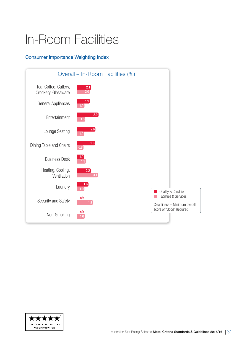## In-Room Facilities

#### Consumer Importance Weighting Index



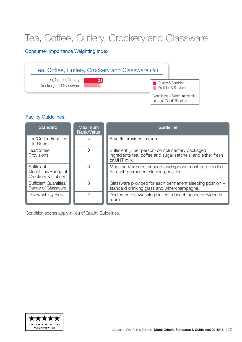### Tea, Coffee, Cutlery, Crockery and Glassware

#### Consumer Importance Weighting Index



#### Facility Guidelines:

| <b>Standard</b>                                         | <b>Maximum</b><br><b>Rank/Value</b> | <b>Guideline</b>                                                                                                                 |
|---------------------------------------------------------|-------------------------------------|----------------------------------------------------------------------------------------------------------------------------------|
| Tea/Coffee Facilities<br>$-$ In Room                    |                                     | A kettle provided in room.                                                                                                       |
| Tea/Coffee<br>Provisions                                | З                                   | Sufficient (2 per person) complimentary packaged<br>ingredients tea, coffee and sugar satchels) and either fresh<br>or UHT milk. |
| Sufficient<br>Quantities/Range of<br>Crockery & Cutlery | 3                                   | Mugs and/or cups, saucers and spoons must be provided<br>for each permanent sleeping position.                                   |
| <b>Sufficient Quantities/</b><br>Range of Glassware     | З                                   | Glassware provided for each permanent sleeping position -<br>standard drinking glass and wine/champagne.                         |
| Dishwashing Sink                                        | 2                                   | Dedicated dishwashing sink with bench space provided in<br>room.                                                                 |

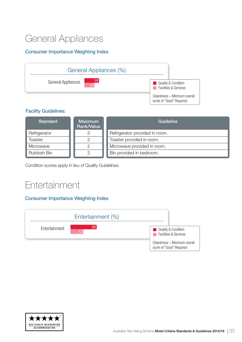### General Appliances

#### Consumer Importance Weighting Index



#### Facility Guidelines:

| <b>Standard</b>    | <b>Maximum</b><br><b>Rank/Value</b> | Guideline                      |
|--------------------|-------------------------------------|--------------------------------|
| Refrigerator       |                                     | Refrigerator provided in room. |
| <b>Toaster</b>     |                                     | Toaster provided in room.      |
| Microwave          |                                     | Microwave provided in room.    |
| <b>Rubbish Bin</b> |                                     | Bin provided in bedroom.       |

Condition scores apply in lieu of Quality Guidelines.

### **Entertainment**

#### Consumer Importance Weighting Index



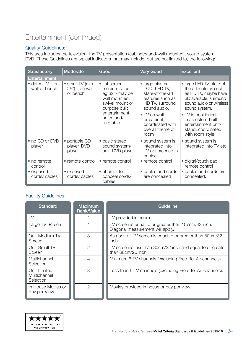### Entertainment (continued)

#### Quality Guidelines:

This area includes the television, the TV presentation (cabinet/stand/wall mounted), sound system, DVD. These Guidelines are typical indicators that may include, but are not limited to, the following:

| <b>Satisfactory</b>                      | Moderate                                         | Good                                                                                                                                                        | <b>Very Good</b>                                                                                           | <b>Excellent</b>                                                                                                                                 |  |  |  |
|------------------------------------------|--------------------------------------------------|-------------------------------------------------------------------------------------------------------------------------------------------------------------|------------------------------------------------------------------------------------------------------------|--------------------------------------------------------------------------------------------------------------------------------------------------|--|--|--|
| <b>Entertainment</b>                     |                                                  |                                                                                                                                                             |                                                                                                            |                                                                                                                                                  |  |  |  |
| $\bullet$ dated TV – on<br>wall or bench | • small TV (min<br>$26"$ ) – on wall<br>or bench | $\bullet$ flat screen -<br>medium sized<br>eg 32"- may be<br>wall mounted,<br>swivel mount or<br>purpose built<br>entertainment<br>unit/stand/<br>turntable | · large plasma,<br>LCD, LED TV,<br>state-of-the-art<br>features such as<br>HD TV, surround<br>sound audio. | • large LED TV, state-of-<br>the-art features such<br>as HD TV, maybe have<br>3D available, surround<br>sound audio or wireless<br>sound system. |  |  |  |
|                                          |                                                  |                                                                                                                                                             | • TV on wall<br>or cabinet,<br>coordinated with<br>overall theme of<br>room                                | • TV is positioned<br>in a custom-built<br>entertainment unit/<br>stand, coordinated<br>with room style                                          |  |  |  |
| • no CD or DVD<br>player                 | • portable CD<br>player, DVD<br>player           | • basic stereo<br>sound system/<br>unit, DVD player                                                                                                         | • sound system is<br>integrated into<br>TV or screened in<br>cabinet                                       | • sound system is<br>integrated into TV etc                                                                                                      |  |  |  |
| • no remote<br>control                   | • remote control                                 | • remote control                                                                                                                                            | • remote control                                                                                           | • digital/touch pad<br>remote control                                                                                                            |  |  |  |
| • exposed<br>cords/cables                | • exposed<br>cords/cables                        | • attempt to<br>conceal cords/<br>cables                                                                                                                    | • cables and cords<br>are concealed                                                                        | • cables and cords are<br>concealed.                                                                                                             |  |  |  |

#### Facility Guidelines:

| <b>Standard</b>                             | <b>Maximum</b><br><b>Rank/Value</b> | Guideline                                                                                |
|---------------------------------------------|-------------------------------------|------------------------------------------------------------------------------------------|
| TV                                          | 4                                   | TV provided in-room.                                                                     |
| Large TV Screen                             | 4                                   | TV screen is equal to or greater than 107cm/42 inch.<br>Diagonal measurement will apply. |
| Or – Medium TV<br>Screen                    | 3                                   | As above – TV screen is equal to or greater than 80cm/32<br>inch.                        |
| $Or$ – Small TV<br>Screen                   | $\mathcal{P}$                       | TV screen is less than 80cm/32 inch and equal to or greater<br>than 66cm/26 inch         |
| Multichannel<br>Selection                   | 4                                   | Minimum 6 TV channels (excluding Free–To–Air channels).                                  |
| $Or$ – Limited<br>Multichannel<br>Selection | 3                                   | Less than 6 TV channels (excluding Free–To–Air channels).                                |
| In House Movies or<br>Pay per View          | 2                                   | Movies provided in house or pay per view.                                                |

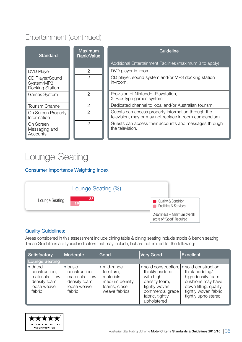### Entertainment (continued)

| <b>Standard</b>                                  | <b>Maximum</b><br><b>Rank/Value</b> | <b>Guideline</b>                                                                                             |
|--------------------------------------------------|-------------------------------------|--------------------------------------------------------------------------------------------------------------|
|                                                  |                                     | Additional Entertainment Facilities (maximum 3 to apply)                                                     |
| <b>DVD Player</b>                                | $\overline{2}$                      | DVD player in-room.                                                                                          |
| CD Player/Sound<br>System/MP3<br>Docking Station | $\overline{2}$                      | CD player, sound system and/or MP3 docking station<br>in-room.                                               |
| <b>Games System</b>                              | 2                                   | Provision of Nintendo, Playstation,<br>X-Box type games system.                                              |
| <b>Tourism Channel</b>                           | $\overline{2}$                      | Dedicated channel to local and/or Australian tourism.                                                        |
| On Screen Property<br>Information                | 2                                   | Guests can access property information through the<br>television, may or may not replace in room compendium. |
| On Screen<br>Messaging and<br>Accounts           | 2                                   | Guests can access their accounts and messages through<br>the television.                                     |

### Lounge Seating

#### Consumer Importance Weighting Index



#### Quality Guidelines:

Areas considered in this assessment include dining table & dining seating include stools & bench seating. These Guidelines are typical indicators that may include, but are not limited to, the following:

| Satisfactory                                                                                    | Moderate                                                                              | Good                                                                                          | <b>Very Good</b>                                                                                                    | <b>Excellent</b>                                                                                                                                                                                      |
|-------------------------------------------------------------------------------------------------|---------------------------------------------------------------------------------------|-----------------------------------------------------------------------------------------------|---------------------------------------------------------------------------------------------------------------------|-------------------------------------------------------------------------------------------------------------------------------------------------------------------------------------------------------|
| <b>Lounge Seating</b>                                                                           |                                                                                       |                                                                                               |                                                                                                                     |                                                                                                                                                                                                       |
| $\bullet$ dated<br>construction,<br>$materials - low$<br>density foam,<br>loose weave<br>fabric | basic<br>construction,<br>$materials - low$<br>density foam,<br>loose weave<br>fabric | • mid-range<br>furniture.<br>$materials -$<br>medium density<br>foams, close<br>weave fabrics | thickly padded<br>with high<br>density foam,<br>tightly woven<br>commercial grade<br>fabric, tightly<br>upholstered | • solid construction, $\vert \bullet \vert$ solid construction,<br>thick padding/<br>high density foam,<br>cushions may have<br>down filling, quality<br>tightly woven fabric,<br>tightly upholstered |

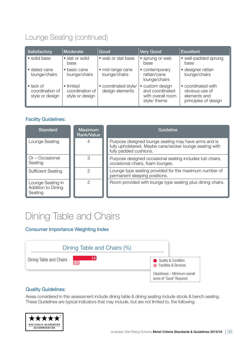### Lounge Seating (continued)

| <b>Satisfactory</b>                                     | Moderate                                        | Good                                    | <b>Very Good</b>                                                        | <b>Excellent</b>                                                             |
|---------------------------------------------------------|-------------------------------------------------|-----------------------------------------|-------------------------------------------------------------------------|------------------------------------------------------------------------------|
| • solid base                                            | • slat or solid<br>base                         | • web or slat base                      | • sprung or web<br>base                                                 | • well-padded sprung<br>base                                                 |
| • dated cane<br>lounge/chairs                           | • basic cane<br>lounge/chairs                   | • mid range cane<br>lounge/chairs       | • contemporary<br>rattan/cane<br>lounge/chairs                          | • designer rattan<br>lounge/chairs                                           |
| $\bullet$ lack of<br>coordination of<br>style or design | • limited<br>coordination of<br>style or design | • coordinated style/<br>design elements | • custom design<br>and coordinated<br>with overall room<br>style/ theme | • coordinated with<br>obvious use of<br>elements and<br>principles of design |

#### Facility Guidelines:

| <b>Standard</b>                                    | <b>Maximum</b><br><b>Rank/Value</b> | Guideline                                                                                                                                  |
|----------------------------------------------------|-------------------------------------|--------------------------------------------------------------------------------------------------------------------------------------------|
| Lounge Seating                                     |                                     | Purpose designed lounge seating may have arms and is<br>fully upholstered. Maybe cane/wicker lounge seating with<br>fully padded cushions. |
| Or - Occasional<br>Seating                         | З                                   | Purpose designed occasional seating includes tub chairs,<br>occasional chairs, foam lounges.                                               |
| <b>Sufficient Seating</b>                          | ◠                                   | Lounge type seating provided for the maximum number of<br>permanent sleeping positions.                                                    |
| Lounge Seating in<br>Addition to Dining<br>Seating | っ                                   | Room provided with lounge type seating plus dining chairs.                                                                                 |

### Dining Table and Chairs

#### Consumer Importance Weighting Index



#### Quality Guidelines:

Areas considered in this assessment include dining table & dining seating include stools & bench seating. These Guidelines are typical indicators that may include, but are not limited to, the following:

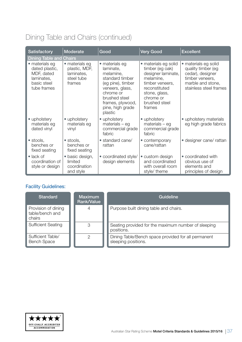### Dining Table and Chairs (continued)

| Satisfactory                                                                               | Moderate                                                              | Good                                                                                                                                                                                 | <b>Very Good</b>                                                                                                                                                        | <b>Excellent</b>                                                                                                                 |
|--------------------------------------------------------------------------------------------|-----------------------------------------------------------------------|--------------------------------------------------------------------------------------------------------------------------------------------------------------------------------------|-------------------------------------------------------------------------------------------------------------------------------------------------------------------------|----------------------------------------------------------------------------------------------------------------------------------|
| <b>Dining Table and Chairs</b>                                                             |                                                                       |                                                                                                                                                                                      |                                                                                                                                                                         |                                                                                                                                  |
| • materials eg<br>dated plastic,<br>MDF, dated<br>laminates,<br>basic steel<br>tube frames | • materials eg<br>plastic, MDF,<br>laminates,<br>steel tube<br>frames | • materials eg<br>laminate,<br>melamine,<br>standard timber<br>(eg pine), timber<br>veneers, glass,<br>chrome or<br>brushed steel<br>frames, plywood,<br>pine, high grade<br>plastic | • materials eg solid<br>timber (eg oak)<br>designer laminate,<br>melamine,<br>timber veneers,<br>reconstituted<br>stone, glass,<br>chrome or<br>brushed steel<br>frames | • materials eg solid<br>quality timber (eg<br>cedar), designer<br>timber veneers,<br>marble and stone,<br>stainless steel frames |
| • upholstery<br>materials eg<br>dated vinyl                                                | • upholstery<br>materials eg<br>vinyl                                 | • upholstery<br>$materials - eg$<br>commercial grade<br>fabric                                                                                                                       | • upholstery<br>$materials - eg$<br>commercial grade<br>fabric                                                                                                          | • upholstery materials<br>eg high grade fabrics                                                                                  |
| • stools,<br>benches or<br>fixed seating                                                   | $\bullet$ stools,<br>benches or<br>fixed seating                      | • standard cane/<br>rattan                                                                                                                                                           | • contemporary<br>cane/rattan                                                                                                                                           | · designer cane/ rattan                                                                                                          |
| $\bullet$ lack of<br>coordination of<br>style or design                                    | · basic design,<br>limited<br>coordination<br>and style               | • coordinated style/<br>design elements                                                                                                                                              | • custom design<br>and coordinated<br>with overall room<br>style/ theme                                                                                                 | • coordinated with<br>obvious use of<br>elements and<br>principles of design                                                     |

#### Facility Guidelines:

| <b>Standard</b>                                  | <b>Maximum</b><br>Rank/Value | Guideline                                                                  |
|--------------------------------------------------|------------------------------|----------------------------------------------------------------------------|
| Provision of dining<br>table/bench and<br>chairs |                              | Purpose built dining table and chairs.                                     |
| <b>Sufficient Seating</b>                        | 3                            | Seating provided for the maximum number of sleeping<br>positions.          |
| Sufficient Table/<br><b>Bench Space</b>          | ◠                            | Dining Table/Bench space provided for all permanent<br>sleeping positions. |

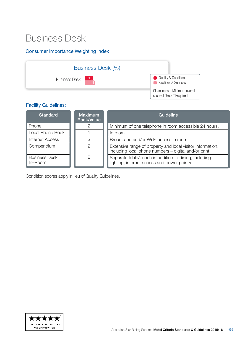### Business Desk

Facility Guidelines:

#### Consumer Importance Weighting Index



#### **Standard** Phone Local Phone Book Internet Access **Compendium** Business Desk In–Room Maximum Rank/Value 2 1 3  $\overline{2}$ 2 **Guideline** Minimum of one telephone in room accessible 24 hours. In room. Broadband and/or Wi Fi access in room. Extensive range of property and local visitor information, including local phone numbers – digital and/or print. Separate table/bench in addition to dining, including lighting, internet access and power point/s

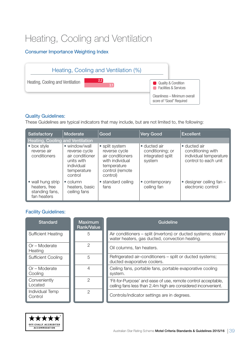### Heating, Cooling and Ventilation

#### Consumer Importance Weighting Index



#### Quality Guidelines:

These Guidelines are typical indicators that may include, but are not limited to, the following:

| Satisfactory                                                        | Moderate                                                                                                | Good                                                                                                                 | <b>Very Good</b>                                               | <b>Excellent</b>                                                                    |
|---------------------------------------------------------------------|---------------------------------------------------------------------------------------------------------|----------------------------------------------------------------------------------------------------------------------|----------------------------------------------------------------|-------------------------------------------------------------------------------------|
| Heating, Cooling and Ventilation                                    |                                                                                                         |                                                                                                                      |                                                                |                                                                                     |
| • box style<br>reverse air<br>conditioners                          | • window/wall<br>reverse cycle<br>air conditioner<br>units with<br>individual<br>temperature<br>control | • split system<br>reverse cycle<br>air conditioners<br>with individual<br>temperature<br>control (remote<br>control) | • ducted air<br>conditioning; or<br>integrated split<br>system | • ducted air<br>conditioning with<br>individual temperature<br>control to each unit |
| • wall hung strip<br>heaters, free<br>standing fans,<br>fan heaters | $\bullet$ column<br>heaters, basic<br>ceiling fans                                                      | • standard ceiling<br>fans                                                                                           | • contemporary<br>ceiling fan                                  | $\bullet$ designer ceiling fan $-$<br>electronic control                            |

#### Facility Guidelines:

| <b>Standard</b>            | <b>Maximum</b><br><b>Rank/Value</b> | Guideline                                                                                                                      |
|----------------------------|-------------------------------------|--------------------------------------------------------------------------------------------------------------------------------|
| <b>Sufficient Heating</b>  | 5                                   | Air conditioners – split (invertors) or ducted systems; steam/<br>water heaters, gas ducted, convection heating.               |
| Or – Moderate<br>Heating   | 2                                   | Oil columns, fan heaters.                                                                                                      |
| <b>Sufficient Cooling</b>  | 5                                   | Refrigerated air-conditioners - split or ducted systems;<br>ducted evaporative coolers.                                        |
| $Or - Moderate$<br>Cooling |                                     | Ceiling fans, portable fans, portable evaporative cooling<br>system.                                                           |
| Conveniently<br>Located    | 2                                   | 'Fit-for-Purpose' and ease of use, remote control acceptable,<br>ceiling fans less than 2.4m high are considered inconvenient. |
| Individual Temp<br>Control | 2                                   | Controls/indicator settings are in degrees.                                                                                    |

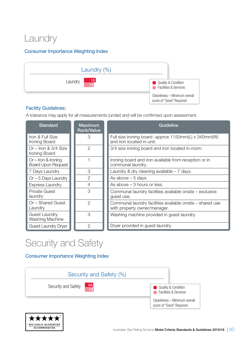### **Laundry**

#### Consumer Importance Weighting Index



#### Facility Guidelines:

A tolerance may apply for all measurements (under) and will be confirmed upon assessment.

| <b>Standard</b>                                    | <b>Maximum</b><br><b>Rank/Value</b> | Guideline                                                                                 |
|----------------------------------------------------|-------------------------------------|-------------------------------------------------------------------------------------------|
| Iron & Full Size<br>Ironing Board                  | 3                                   | Full size ironing board -approx 1150mm(L) x 340mm(W)<br>and iron located in-unit.         |
| Or $-$ Iron & 3/4 Size<br>Ironing Board            | $\overline{2}$                      | 3/4 size ironing board and iron located in-room.                                          |
| $Or - Iron$ & Ironing<br><b>Board Upon Request</b> |                                     | Ironing board and iron available from reception or in<br>communal laundry.                |
| 7 Days Laundry                                     | 3                                   | Laundry & dry cleaning available $-7$ days.                                               |
| $Or - 5$ Days Laundry                              | $\overline{2}$                      | As above $-5$ days.                                                                       |
| <b>Express Laundry</b>                             | $\overline{4}$                      | As above $-3$ hours or less.                                                              |
| <b>Private Guest</b><br>laundry                    | 3                                   | Communal laundry facilities available onsite – exclusive<br>guest use.                    |
| Or - Shared Guest<br>Laundry                       | $\overline{2}$                      | Communal laundry facilities available onsite – shared use<br>with property owner/manager. |
| <b>Guest Laundry</b><br>Washing Machine            | 3                                   | Washing machine provided in guest laundry.                                                |
| <b>Guest Laundry Dryer</b>                         | $\overline{2}$                      | Dryer provided in guest laundry.                                                          |

### Security and Safety

#### Consumer Importance Weighting Index



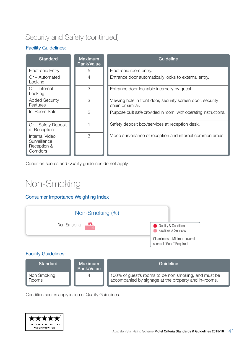### Security and Safety (continued)

#### Facility Guidelines:

| <b>Standard</b>                                            | <b>Maximum</b><br>Rank/Value | <b>Guideline</b>                                                                |
|------------------------------------------------------------|------------------------------|---------------------------------------------------------------------------------|
| <b>Electronic Entry</b>                                    | 5                            | Electronic room entry.                                                          |
| Or – Automated<br>Locking                                  | 4                            | Entrance door automatically locks to external entry.                            |
| $Or$ – Internal<br>Locking                                 | 3                            | Entrance door lockable internally by guest.                                     |
| <b>Added Security</b><br>Features                          | 3                            | Viewing hole in front door, security screen door, security<br>chain or similar. |
| In-Room Safe                                               | 2                            | Purpose built safe provided in room, with operating instructions.               |
| Or - Safety Deposit<br>at Reception                        |                              | Safety deposit box/services at reception desk.                                  |
| Internal Video<br>Surveillance<br>Reception &<br>Corridors | 3                            | Video surveillance of reception and internal common areas.                      |

Condition scores and Quality guidelines do not apply.

### Non-Smoking

#### Consumer Importance Weighting Index



#### Facility Guidelines:

| Standard             | <b>Maximum</b><br>Rank/Value | Guideline                                                                                                    |
|----------------------|------------------------------|--------------------------------------------------------------------------------------------------------------|
| Non Smoking<br>Rooms | 4                            | 100% of guest's rooms to be non smoking, and must be<br>accompanied by signage at the property and in-rooms. |

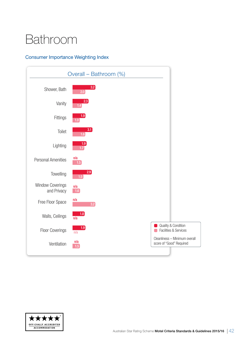## Bathroom

#### Consumer Importance Weighting Index



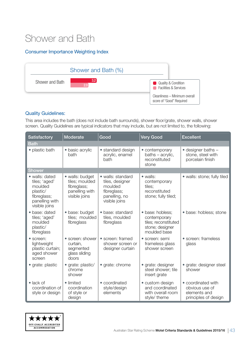### Shower and Bath

#### Consumer Importance Weighting Index



#### Quality Guidelines:

This area includes the bath (does not include bath surrounds), shower floor/grate, shower walls, shower screen. Quality Guidelines are typical indicators that may include, but are not limited to, the following:

| <b>Satisfactory</b>                                                                                      | Moderate                                                                            | Good                                                                                             | <b>Very Good</b>                                                                            | <b>Excellent</b>                                                             |
|----------------------------------------------------------------------------------------------------------|-------------------------------------------------------------------------------------|--------------------------------------------------------------------------------------------------|---------------------------------------------------------------------------------------------|------------------------------------------------------------------------------|
| <b>Bath</b>                                                                                              |                                                                                     |                                                                                                  |                                                                                             |                                                                              |
| • plastic bath                                                                                           | · basic acrylic<br><b>bath</b>                                                      | • standard design<br>acrylic, enamel<br>bath                                                     | • contemporary<br>baths - acrylic,<br>reconstituted<br>stone                                | • designer baths -<br>stone, steel with<br>porcelain finish                  |
| <b>Shower</b>                                                                                            |                                                                                     |                                                                                                  |                                                                                             |                                                                              |
| • walls: dated<br>tiles; 'aged'<br>moulded<br>plastic/<br>fibreglass;<br>panelling with<br>visible joins | · walls: budget<br>tiles; moulded<br>fibreglass;<br>panelling with<br>visible joins | • walls: standard<br>tiles, designer<br>moulded<br>fibreglass;<br>panelling, no<br>visible joins | • walls:<br>contemporary<br>tiles;<br>reconstituted<br>stone; fully tiled;                  | · walls: stone; fully tiled                                                  |
| • base: dated<br>tiles; 'aged'<br>moulded<br>plastic/<br>fibreglass                                      | · base: budget<br>tiles; moulded<br>fibreglass                                      | • base: standard<br>tiles, moulded<br>fibreglass                                                 | · base: hobless:<br>contemporary<br>tiles; reconstituted<br>stone; designer<br>moulded base | · base: hobless; stone                                                       |
| • screen:<br>lightweight<br>plastic curtain;<br>aged shower<br>screen                                    | • screen: shower<br>curtain,<br>segmented<br>glass sliding<br>doors                 | · screen: framed<br>shower screen or<br>designer curtain                                         | • screen: semi<br>frameless glass<br>shower screen                                          | • screen: frameless<br>glass                                                 |
| • grate: plastic                                                                                         | · grate: plastic/<br>chrome<br>shower                                               | · grate: chrome                                                                                  | • grate: designer<br>steel shower; tile<br>insert grate                                     | · grate: designer steel<br>shower                                            |
| $\bullet$ lack of<br>coordination of<br>style or design                                                  | • limited<br>coordination<br>of style or<br>design                                  | • coordinated<br>style/design<br>elements                                                        | • custom design<br>and coordinated<br>with overall room<br>style/ theme                     | • coordinated with<br>obvious use of<br>elements and<br>principles of design |

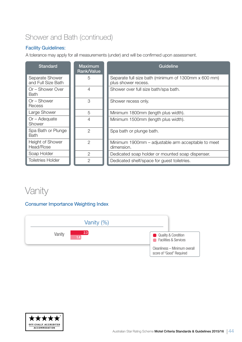### Shower and Bath (continued)

#### Facility Guidelines:

A tolerance may apply for all measurements (under) and will be confirmed upon assessment.

| <b>Standard</b>                       | <b>Maximum</b><br><b>Rank/Value</b> | Guideline                                                                   |  |
|---------------------------------------|-------------------------------------|-----------------------------------------------------------------------------|--|
| Separate Shower<br>and Full Size Bath | 5                                   | Separate full size bath (minimum of 1300mm x 600 mm)<br>plus shower recess. |  |
| Or – Shower Over<br><b>Bath</b>       | 4                                   | Shower over full size bath/spa bath.                                        |  |
| Or – Shower<br>Recess                 | 3                                   | Shower recess only.                                                         |  |
| Large Shower                          | 5                                   | Minimum 1800mm (length plus width).                                         |  |
| $Or - Adequate$<br>Shower             | 4                                   | Minimum 1500mm (length plus width).                                         |  |
| Spa Bath or Plunge<br><b>Bath</b>     | $\overline{2}$                      | Spa bath or plunge bath.                                                    |  |
| <b>Height of Shower</b><br>Head/Rose  | $\mathcal{P}$                       | Minimum 1900mm – adjustable arm acceptable to meet<br>dimension.            |  |
| Soap Holder                           | $\mathcal{P}$                       | Dedicated soap holder or mounted soap dispenser.                            |  |
| <b>Toiletries Holder</b>              | $\overline{2}$                      | Dedicated shelf/space for guest toiletries.                                 |  |

### Vanity

#### Consumer Importance Weighting Index



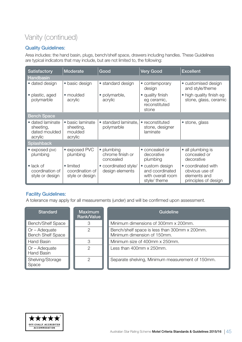### Vanity (continued)

#### Quality Guidelines:

Area includes: the hand basin, plugs, bench/shelf space, drawers including handles. These Guidelines are typical indicators that may include, but are not limited to, the following:

| <b>Satisfactory</b>                                       | Moderate                                            | Good                                        | <b>Very Good</b>                                                        | <b>Excellent</b>                                                             |  |  |  |
|-----------------------------------------------------------|-----------------------------------------------------|---------------------------------------------|-------------------------------------------------------------------------|------------------------------------------------------------------------------|--|--|--|
| <b>Handbasin</b>                                          |                                                     |                                             |                                                                         |                                                                              |  |  |  |
| • dated design                                            | • basic design                                      | • standard design                           | • contemporary<br>design                                                | • customised design<br>and style/theme                                       |  |  |  |
| • plastic, aged<br>polymarble                             | $\bullet$ moulded<br>acrylic                        | • polymarble,<br>acrylic                    | • quality finish<br>eg ceramic,<br>reconstituted<br>stone               | • high quality finish eg<br>stone, glass, ceramic                            |  |  |  |
| <b>Bench Space</b>                                        |                                                     |                                             |                                                                         |                                                                              |  |  |  |
| • dated laminate<br>sheeting,<br>dated moulded<br>acrylic | • basic laminate<br>sheeting,<br>moulded<br>acrylic | · standard laminate,<br>polymarble          | • reconstituted<br>stone, designer<br>laminate                          | • stone, glass                                                               |  |  |  |
| <b>Splashback</b>                                         |                                                     |                                             |                                                                         |                                                                              |  |  |  |
| • exposed pvc<br>plumbing                                 | • exposed PVC<br>plumbing                           | • plumbing<br>chrome finish or<br>concealed | • concealed or<br>decorative<br>plumbing                                | • all plumbing is<br>concealed or<br>decorative                              |  |  |  |
| $\bullet$ lack of<br>coordination of<br>style or design   | • limited<br>coordination of<br>style or design     | • coordinated style/<br>design elements     | • custom design<br>and coordinated<br>with overall room<br>style/ theme | • coordinated with<br>obvious use of<br>elements and<br>principles of design |  |  |  |

#### Facility Guidelines:

A tolerance may apply for all measurements (under) and will be confirmed upon assessment.

| <b>Standard</b>                             | <b>Maximum</b><br>Rank/Value | Guideline                                                                    |
|---------------------------------------------|------------------------------|------------------------------------------------------------------------------|
| <b>Bench/Shelf Space</b>                    | 3                            | Minimum dimensions of 300mm x 200mm.                                         |
| $Or - Adequate$<br><b>Bench Shelf Space</b> | 2                            | Bench/shelf space is less than 300mm x 200mm.<br>Minimum dimension of 150mm. |
| Hand Basin                                  | З                            | Minimum size of 400mm x 250mm.                                               |
| $Or - Adequate$<br>Hand Basin               | 2                            | Less than 400mm x 250mm.                                                     |
| Shelving/Storage<br>Space                   | $\mathcal{P}$                | Separate shelving, Minimum measurement of 150mm.                             |

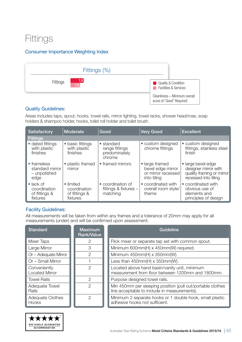### **Fittings**

#### Consumer Importance Weighting Index



#### Quality Guidelines:

Areas includes taps, spout, hooks, towel rails, mirror lighting, towel racks, shower head/rose, soap holders & shampoo holder, hooks, toilet roll holder and toilet brush.

| Satisfactory                                                   | Moderate                                               | Good                                                    | <b>Very Good</b>                                                         | <b>Excellent</b>                                                                                |
|----------------------------------------------------------------|--------------------------------------------------------|---------------------------------------------------------|--------------------------------------------------------------------------|-------------------------------------------------------------------------------------------------|
| <b>Fittings</b>                                                |                                                        |                                                         |                                                                          |                                                                                                 |
| • dated fittings<br>with plastic<br>finishes                   | • basic fittings<br>with plastic<br>finishes           | • standard<br>range fittings<br>predominately<br>chrome | • custom designed<br>chrome fittings                                     | • custom designed<br>fittings, stainless steel<br>finish                                        |
| • frameless<br>standard mirror<br>- unpolished<br>edge         | • plastic framed<br>mirror                             | • framed mirrors                                        | • large framed<br>bevel edge mirror<br>or mirror recessed<br>into tiling | • large bevel edge<br>designer mirror with<br>quality framing or mirror<br>recessed into tiling |
| $\bullet$ lack of<br>coordination<br>of fittings &<br>fixtures | • limited<br>coordination<br>of fittings &<br>fixtures | • coordination of<br>fittings & fixtures -<br>matching  | • coordinated with<br>overall room style/<br>theme                       | • coordinated with<br>obvious use of<br>elements and<br>principles of design                    |

#### Facility Guidelines:

All measurements will be taken from within any frames and a tolerance of 20mm may apply for all measurements (under) and will be confirmed upon assessment.

| <b>Standard</b>                       | <b>Maximum</b><br>Rank/Value | Guideline                                                                                                  |
|---------------------------------------|------------------------------|------------------------------------------------------------------------------------------------------------|
| Mixer Taps                            | 2                            | Flick mixer or separate tap set with common spout.                                                         |
| Large Mirror                          | 3                            | Minimum 600mm(H) x 450mm(W) required.                                                                      |
| Or - Adequate Mirror                  | 2                            | Minimum 450mm(H) x 350mm(W).                                                                               |
| Or - Small Mirror                     |                              | Less than $450mm(H) \times 350mm(W)$ .                                                                     |
| Conveniently<br><b>Located Mirror</b> | 2                            | Located above hand basin/vanity unit, minimum<br>measurement from floor between 1200mm and 1800mm.         |
| <b>Towel Rails</b>                    | 2                            | Purpose designed towel rails.                                                                              |
| Adequate Towel<br>Rails               | 2                            | Min 450mm per sleeping position (pull out/portable clothes<br>line acceptable to include in measurements). |
| Adequate Clothes<br>Hooks             | 2                            | Minimum 2 separate hooks or 1 double hook, small plastic<br>adhesive hooks not sufficient.                 |

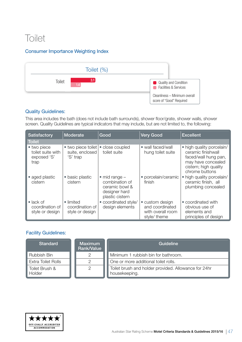### **Toilet**

#### Consumer Importance Weighting Index



#### Quality Guidelines:

This area includes the bath (does not include bath surrounds), shower floor/grate, shower walls, shower screen. Quality Guidelines are typical indicators that may include, but are not limited to, the following:

| <b>Satisfactory</b>                                     | <b>Moderate</b>                                   | Good                                                                                            | <b>Very Good</b>                                                        | <b>Excellent</b>                                                                                                                         |
|---------------------------------------------------------|---------------------------------------------------|-------------------------------------------------------------------------------------------------|-------------------------------------------------------------------------|------------------------------------------------------------------------------------------------------------------------------------------|
| <b>Toilet</b>                                           |                                                   |                                                                                                 |                                                                         |                                                                                                                                          |
| • two piece<br>toilet suite with<br>exposed 'S'<br>trap | • two piece toilet<br>suite, enclosed<br>'S' trap | • close coupled<br>toilet suite                                                                 | • wall faced/wall<br>hung toilet suite                                  | • high quality porcelain/<br>ceramic finishwall<br>faced/wall hung pan,<br>may have concealed<br>cistern; high quality<br>chrome buttons |
| • aged plastic<br>cistern                               | • basic plastic<br>cistern                        | $\bullet$ mid range $-$<br>combination of<br>ceramic bowl &<br>designer hard<br>plastic cistern | • porcelain/ceramic<br>finish                                           | high quality porcelain/<br>ceramic finish, all<br>plumbing concealed                                                                     |
| $\bullet$ lack of<br>coordination of<br>style or design | • limited<br>coordination of<br>style or design   | • coordinated style/<br>design elements                                                         | • custom design<br>and coordinated<br>with overall room<br>style/ theme | • coordinated with<br>obvious use of<br>elements and<br>principles of design                                                             |

#### Facility Guidelines:

| <b>Standard</b>           | <b>Maximum</b><br>Rank/Value | Guideline                                                             |  |
|---------------------------|------------------------------|-----------------------------------------------------------------------|--|
| Rubbish Bin               |                              | Minimum 1 rubbish bin for bathroom.                                   |  |
| <b>Extra Toilet Rolls</b> |                              | One or more additional toilet rolls.                                  |  |
| Toilet Brush &<br>Holder  |                              | Toilet brush and holder provided. Allowance for 24hr<br>housekeeping. |  |

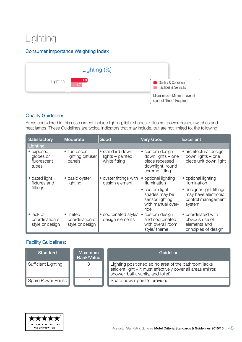### Lighting

#### Consumer Importance Weighting Index



#### Quality Guidelines:

Areas considered in this assessment include lighting, light shades, diffusers, power points, switches and heat lamps. These Guidelines are typical indicators that may include, but are not limited to, the following:

| Satisfactory                                            | Moderate                                        | Good                                                 | <b>Very Good</b>                                                                             | <b>Excellent</b>                                                                  |
|---------------------------------------------------------|-------------------------------------------------|------------------------------------------------------|----------------------------------------------------------------------------------------------|-----------------------------------------------------------------------------------|
| Lighting                                                |                                                 |                                                      |                                                                                              |                                                                                   |
| • exposed<br>globes or<br>fluorescent<br>tubes          | • fluorescent<br>lighting diffuser<br>panels    | • standard down<br>lights - painted<br>white fitting | • custom design<br>down lights - one<br>piece recessed<br>downlight, round<br>chrome fitting | • architectural design<br>down lights - one<br>piece unit down light              |
| • dated light<br>fixtures and                           | • basic oyster<br>lighting                      | • oyster fittings with<br>design element             | • optional lighting<br>illumination                                                          | • optional lighting<br>illumination                                               |
| fittings                                                |                                                 |                                                      | • custom light<br>shades may be<br>sensor lighting<br>with manual over-<br>ride              | · designer light fittings,<br>may have electronic<br>control management<br>system |
| $\bullet$ lack of<br>coordination of<br>style or design | • limited<br>coordination of<br>style or design | • coordinated style/<br>design elements              | • custom design<br>and coordinated<br>with overall room<br>style/ theme                      | • coordinated with<br>obvious use of<br>elements and<br>principles of design      |

#### Facility Guidelines:

| Standard            | <b>Maximum</b><br>Rank/Value | Guideline                                                                                                                                                    |
|---------------------|------------------------------|--------------------------------------------------------------------------------------------------------------------------------------------------------------|
| Sufficient Lighting | 3                            | Lighting positioned so no area of the bathroom lacks<br>efficient light - it must effectively cover all areas (mirror,<br>shower, bath, vanity, and toilet). |
| Spare Power Points  |                              | Spare power point/s provided.                                                                                                                                |

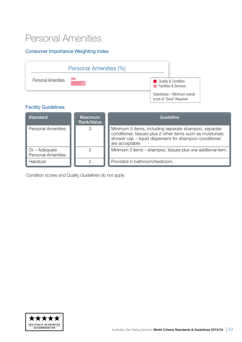### Personal Amenities

#### Consumer Importance Weighting Index



#### Facility Guidelines:

| <b>Standard</b>                                   | <b>Maximum</b><br><b>Rank/Value</b> | Guideline                                                                                                                                                                                          |
|---------------------------------------------------|-------------------------------------|----------------------------------------------------------------------------------------------------------------------------------------------------------------------------------------------------|
| <b>Personal Amenities</b>                         | 3                                   | Minimum 5 items, including separate shampoo, separate<br>conditioner, tissues plus 2 other items such as moisturiser,<br>shower cap - liquid dispensers for shampoo-conditioner<br>are acceptable. |
| $\Box$ Or – Adequate<br><b>Personal Amenities</b> |                                     | Minimum 3 items – shampoo, tissues plus one additional item.                                                                                                                                       |
| Hairdryer                                         |                                     | Provided in bathroom/bedroom.                                                                                                                                                                      |

Condition scores and Quality Guidelines do not apply.

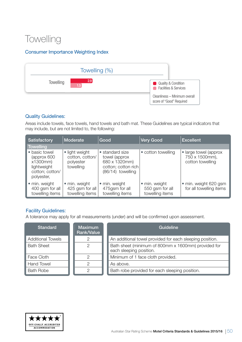### **Towelling**

#### Consumer Importance Weighting Index



#### Quality Guidelines:

Areas include towels, face towels, hand towels and bath mat. These Guidelines are typical indicators that may include, but are not limited to, the following:

| <b>Satisfactory</b>                                                                      | Moderate                                                    | Good                                                                                            | <b>Very Good</b>                                    | <b>Excellent</b>                                             |
|------------------------------------------------------------------------------------------|-------------------------------------------------------------|-------------------------------------------------------------------------------------------------|-----------------------------------------------------|--------------------------------------------------------------|
| <b>Towelling</b>                                                                         |                                                             |                                                                                                 |                                                     |                                                              |
| • basic towel<br>(approx 600<br>x1300mm)<br>lightweight<br>cotton; cotton/<br>polyester, | • light weight<br>cotton, cotton/<br>polyester<br>towelling | • standard size<br>towel (approx<br>680 x 1320mm)<br>cotton; cotton rich<br>$(86/14)$ towelling | • cotton towelling                                  | • large towel (approx)<br>750 x 1500mm),<br>cotton towelling |
| • min. weight<br>400 gsm for all<br>towelling items                                      | • min. weight<br>425 gsm for all<br>towelling items         | • min. weight<br>475gsm for all<br>towelling items                                              | • min. weight<br>550 gsm for all<br>towelling items | · min. weight 620 gsm<br>for all towelling items             |

#### Facility Guidelines:

A tolerance may apply for all measurements (under) and will be confirmed upon assessment.

| <b>Standard</b>          | <b>Maximum</b><br>Rank/Value | Guideline                                                                      |
|--------------------------|------------------------------|--------------------------------------------------------------------------------|
| <b>Additional Towels</b> |                              | An additional towel provided for each sleeping position.                       |
| <b>Bath Sheet</b>        | 2                            | Bath sheet (minimum of 800mm x 1600mm) provided for<br>each sleeping position. |
| Face Cloth               | ヮ                            | Minimum of 1 face cloth provided.                                              |
| <b>Hand Towel</b>        |                              | As above.                                                                      |
| <b>Bath Robe</b>         |                              | Bath robe provided for each sleeping position.                                 |

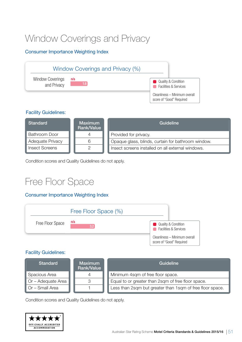### Window Coverings and Privacy

#### Consumer Importance Weighting Index



#### Facility Guidelines:

| <b>Standard</b>         | <b>Maximum</b><br>Rank/Value | Guideline                                          |
|-------------------------|------------------------------|----------------------------------------------------|
| <b>Bathroom Door</b>    |                              | Provided for privacy.                              |
| <b>Adequate Privacy</b> |                              | Opaque glass, blinds, curtain for bathroom window. |
| <b>Insect Screens</b>   |                              | Insect screens installed on all external windows.  |

Condition scores and Quality Guidelines do not apply.

### Free Floor Space

#### Consumer Importance Weighting Index



#### Facility Guidelines:

| <b>Standard</b>           | <b>Maximum</b><br>Rank/Value | Guideline                                                 |
|---------------------------|------------------------------|-----------------------------------------------------------|
| Spacious Area             |                              | Minimum 4sqm of free floor space.                         |
| $\Box$ Or – Adequate Area |                              | Equal to or greater than 2sqm of free floor space.        |
| Or - Small Area           |                              | Less than 2sqm but greater than 1sqm of free floor space. |

Condition scores and Quality Guidelines do not apply.

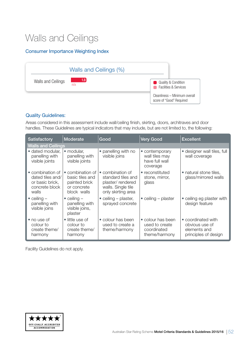### Walls and Ceilings

#### Consumer Importance Weighting Index



#### Quality Guidelines:

Areas considered in this assessment include wall/ceiling finish, skirting, doors, architraves and door handles. These Guidelines are typical indicators that may include, but are not limited to, the following:

| Satisfactory                                                                       | Moderate                                                                           | Good                                                                                                   | <b>Very Good</b>                                                    | <b>Excellent</b>                                                             |  |
|------------------------------------------------------------------------------------|------------------------------------------------------------------------------------|--------------------------------------------------------------------------------------------------------|---------------------------------------------------------------------|------------------------------------------------------------------------------|--|
|                                                                                    | <b>Walls and Ceilings</b>                                                          |                                                                                                        |                                                                     |                                                                              |  |
| • dated modular,<br>panelling with<br>visible joints                               | • modular,<br>panelling with<br>visible joints                                     | • panelling with no<br>visible joins                                                                   | • contemporary<br>wall tiles may<br>have full wall<br>coverage      | · designer wall tiles, full<br>wall coverage                                 |  |
| • combination of<br>dated tiles and/<br>or basic brick,<br>concrete block<br>walls | • combination of<br>basic tiles and<br>painted brick<br>or concrete<br>block walls | • combination of<br>standard tiles and<br>plaster/rendered<br>walls. Single tile<br>only skirting area | • reconstituted<br>stone, mirror,<br>glass                          | • natural stone tiles,<br>glass/mirrored walls                               |  |
| $\bullet$ ceiling $-$<br>panelling with<br>visible joins                           | $\bullet$ ceiling $-$<br>panelling with<br>visible joins,<br>plaster               | • ceiling $-$ plaster,<br>sprayed concrete                                                             | • ceiling $-$ plaster                                               | • ceiling eg plaster with<br>design feature                                  |  |
| • no use of<br>colour to<br>create theme/<br>harmony                               | • little use of<br>colour to<br>create theme/<br>harmony                           | • colour has been<br>used to create a<br>theme/harmony                                                 | • colour has been<br>used to create<br>coordinated<br>theme/harmony | • coordinated with<br>obvious use of<br>elements and<br>principles of design |  |

Facility Guidelines do not apply.

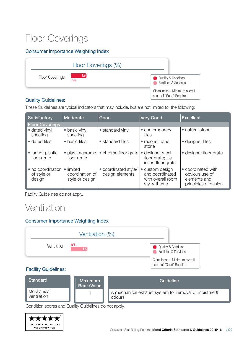### Floor Coverings

#### Consumer Importance Weighting Index



#### Quality Guidelines:

These Guidelines are typical indicators that may include, but are not limited to, the following:

| Satisfactory                               | Moderate                                        | Good                                    | <b>Very Good</b>                                                        | <b>Excellent</b>                                                             |  |
|--------------------------------------------|-------------------------------------------------|-----------------------------------------|-------------------------------------------------------------------------|------------------------------------------------------------------------------|--|
| <b>Floor Coverings</b>                     |                                                 |                                         |                                                                         |                                                                              |  |
| • dated vinyl<br>sheeting                  | • basic vinyl<br>sheeting                       | • standard vinyl                        | • contemporary<br>tiles                                                 | • natural stone                                                              |  |
| • dated tiles                              | • basic tiles                                   | • standard tiles                        | • reconstituted<br>stone                                                | • designer tiles                                                             |  |
| • 'aged' plastic<br>floor grate            | • plastic/chrome<br>floor grate                 | • chrome floor grate                    | designer steel<br>$\bullet$<br>floor grate; tile<br>insert floor grate  | • designer floor grate                                                       |  |
| • no coordination<br>of style or<br>design | • limited<br>coordination of<br>style or design | • coordinated style/<br>design elements | • custom design<br>and coordinated<br>with overall room<br>style/ theme | • coordinated with<br>obvious use of<br>elements and<br>principles of design |  |

Facility Guidelines do not apply.

### Ventilation

#### Consumer Importance Weighting Index



#### Facility Guidelines:



Condition scores and Quality Guidelines do not apply.

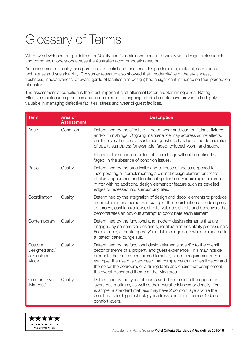## Glossary of Terms

When we developed our guidelines for Quality and Condition we consulted widely with design professionals and commercial operators across the Australian accommodation sector.

An assessment of quality incorporates experiential and functional design elements, material, construction techniques and sustainability. Consumer research also showed that 'modernity' (e.g. the stylishness, freshness, innovativeness, or avant-garde of facilities and design) had a significant influence on their perception of quality.

The assessment of condition is the most important and influential factor in determining a Star Rating. Effective maintenance practices and a commitment to ongoing refurbishments have proven to be highly valuable in managing defective facilities, stress and wear of guest facilities.

| <b>Term</b>                                  | Area of<br>Assessment | <b>Description</b>                                                                                                                                                                                                                                                                                                                                                                                                      |
|----------------------------------------------|-----------------------|-------------------------------------------------------------------------------------------------------------------------------------------------------------------------------------------------------------------------------------------------------------------------------------------------------------------------------------------------------------------------------------------------------------------------|
| Aged                                         | Condition             | Determined by the effects of time or 'wear and tear' on fittings, fixtures<br>and/or furnishings. Ongoing maintenance may address some effects,<br>but the overall impact of sustained guest use has led to the deterioration<br>of quality standards; for example, faded, chipped, worn, and saggy.                                                                                                                    |
|                                              |                       | Please note: antique or collectible furnishings will not be defined as<br>'aged' in the absence of condition issues.                                                                                                                                                                                                                                                                                                    |
| <b>Basic</b>                                 | Quality               | Determined by the practicality and purpose of use as opposed to<br>incorporating or complementing a distinct design element or theme -<br>of plain appearance and functional application. For example, a framed<br>mirror with no additional design element or feature such as bevelled<br>edges or recessed into surrounding tiles.                                                                                    |
| Coordination                                 | Quality               | Determined by the integration of design and decor elements to produce<br>a complementary theme. For example, the coordination of bedding such<br>as throws, cushions/pillows, sheets, valance, sheets and bedcovers that<br>demonstrates an obvious attempt to coordinate each element.                                                                                                                                 |
| Contemporary                                 | Quality               | Determined by the functional and modern design elements that are<br>engaged by commercial designers, retailers and hospitality professionals.<br>For example, a 'contemporary' modular lounge suite when compared to<br>a 'dated' cane lounge suit.                                                                                                                                                                     |
| Custom<br>Designed and/<br>or Custom<br>Made | Quality               | Determined by the functional design elements specific to the overall<br>decor or theme of a property and guest experience. This may include<br>products that have been tailored to satisfy specific requirements. For<br>example, the use of a bed-head that complements an overall decor and<br>theme for the bedroom, or a dining table and chairs that complement<br>the overall decor and theme of the living area. |
| Comfort Layer<br>(Mattress)                  | Quality               | Determined by the types of foams and fibres used in the uppermost<br>layers of a mattress, as well as their overall thickness or density. For<br>example, a standard mattress may have 2 comfort layers while the<br>benchmark for high technology mattresses is a minimum of 5 deep<br>comfort layers.                                                                                                                 |